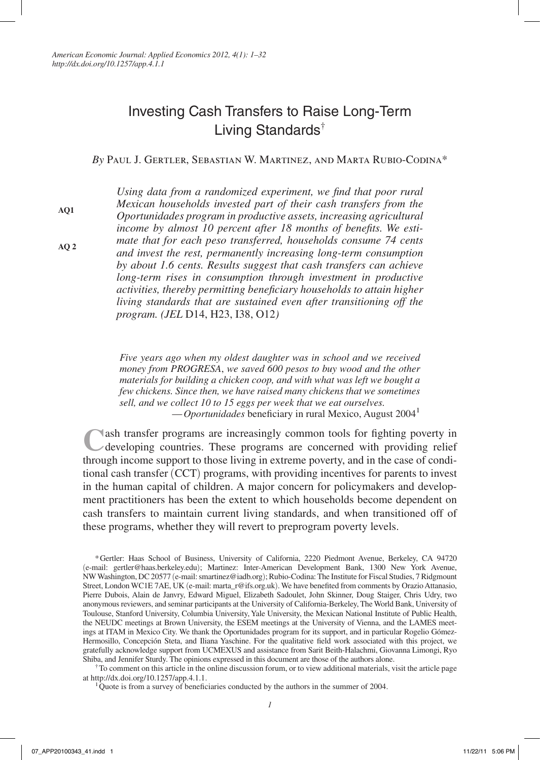# Investing Cash Transfers to Raise Long-Term Living Standards<sup>†</sup>

*By* Paul J. Gertler, Sebastian W. Martinez, and Marta Rubio-Codina\*

*Using data from a randomized experiment, we find that poor rural Mexican households invested part of their cash transfers from the Oportunidades program in productive assets, increasing agricultural income by almost 10 percent after 18 months of benefits. We estimate that for each peso transferred, households consume 74 cents and invest the rest, permanently increasing long-term consumption by about 1.6 cents. Results suggest that cash transfers can achieve long-term rises in consumption through investment in productive activities, thereby permitting beneficiary households to attain higher living standards that are sustained even after transitioning off the program. (JEL* D14, H23, I38, O12*)*

*Five years ago when my oldest daughter was in school and we received money from PROGRESA*, *we saved 600 pesos to buy wood and the other materials for building a chicken coop, and with what was left we bought a few chickens. Since then, we have raised many chickens that we sometimes sell, and we collect 10 to 15 eggs per week that we eat ourselves.* —*Oportunidades* beneficiary in rural Mexico, August 20041

**C**ash transfer programs are increasingly common tools for fighting poverty in developing countries. These programs are concerned with providing relief through income support to those living in extreme poverty, and in the case of conditional cash transfer (CCT) programs, with providing incentives for parents to invest in the human capital of children. A major concern for policymakers and development practitioners has been the extent to which households become dependent on cash transfers to maintain current living standards, and when transitioned off of these programs, whether they will revert to preprogram poverty levels.

at http://dx.doi.org/10.1257/app.4.1.1.

**AQ1**

**AQ 2**

<sup>\*</sup>Gertler: Haas School of Business, University of California, 2220 Piedmont Avenue, Berkeley, CA 94720 (e-mail: gertler@haas.berkeley.edu); Martinez: Inter-American Development Bank, 1300 New York Avenue, NW Washington, DC 20577 (e-mail: smartinez@iadb.org); Rubio-Codina: The Institute for Fiscal Studies, 7 Ridgmount Street, London WC1E 7AE, UK (e-mail: marta\_r@ifs.org.uk). We have benefited from comments by Orazio Attanasio, Pierre Dubois, Alain de Janvry, Edward Miguel, Elizabeth Sadoulet, John Skinner, Doug Staiger, Chris Udry, two anonymous reviewers, and seminar participants at the University of California-Berkeley, The World Bank, University of Toulouse, Stanford University, Columbia University, Yale University, the Mexican National Institute of Public Health, the NEUDC meetings at Brown University, the ESEM meetings at the University of Vienna, and the LAMES meetings at ITAM in Mexico City. We thank the Oportunidades program for its support, and in particular Rogelio Gómez-Hermosillo, Concepción Steta, and Iliana Yaschine. For the qualitative field work associated with this project, we gratefully acknowledge support from UCMEXUS and assistance from Sarit Beith-Halachmi, Giovanna Limongi, Ryo Shiba, and Jennifer Sturdy. The opinions expressed in this document are those of the authors alone.<br>†To comment on this article in the online discussion forum, or to view additional materials, visit the article page

 $1\overline{Q}$ uote is from a survey of beneficiaries conducted by the authors in the summer of 2004.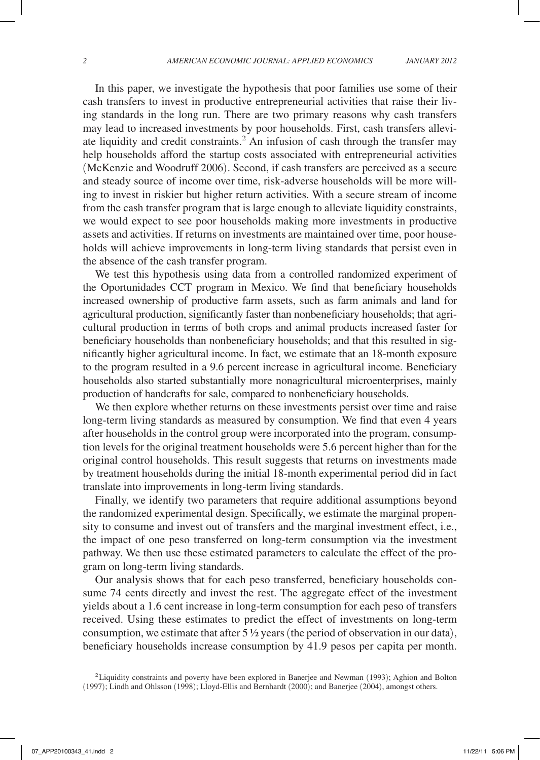In this paper, we investigate the hypothesis that poor families use some of their cash transfers to invest in productive entrepreneurial activities that raise their living standards in the long run. There are two primary reasons why cash transfers may lead to increased investments by poor households. First, cash transfers alleviate liquidity and credit constraints.<sup>2</sup> An infusion of cash through the transfer may help households afford the startup costs associated with entrepreneurial activities (McKenzie and Woodruff 2006). Second, if cash transfers are perceived as a secure and steady source of income over time, risk-adverse households will be more willing to invest in riskier but higher return activities. With a secure stream of income from the cash transfer program that is large enough to alleviate liquidity constraints, we would expect to see poor households making more investments in productive assets and activities. If returns on investments are maintained over time, poor households will achieve improvements in long-term living standards that persist even in the absence of the cash transfer program.

We test this hypothesis using data from a controlled randomized experiment of the Oportunidades CCT program in Mexico. We find that beneficiary households increased ownership of productive farm assets, such as farm animals and land for agricultural production, significantly faster than nonbeneficiary households; that agricultural production in terms of both crops and animal products increased faster for beneficiary households than nonbeneficiary households; and that this resulted in significantly higher agricultural income. In fact, we estimate that an 18-month exposure to the program resulted in a 9.6 percent increase in agricultural income. Beneficiary households also started substantially more nonagricultural microenterprises, mainly production of handcrafts for sale, compared to nonbeneficiary households.

We then explore whether returns on these investments persist over time and raise long-term living standards as measured by consumption. We find that even 4 years after households in the control group were incorporated into the program, consumption levels for the original treatment households were 5.6 percent higher than for the original control households. This result suggests that returns on investments made by treatment households during the initial 18-month experimental period did in fact translate into improvements in long-term living standards.

Finally, we identify two parameters that require additional assumptions beyond the randomized experimental design. Specifically, we estimate the marginal propensity to consume and invest out of transfers and the marginal investment effect, i.e., the impact of one peso transferred on long-term consumption via the investment pathway. We then use these estimated parameters to calculate the effect of the program on long-term living standards.

Our analysis shows that for each peso transferred, beneficiary households consume 74 cents directly and invest the rest. The aggregate effect of the investment yields about a 1.6 cent increase in long-term consumption for each peso of transfers received. Using these estimates to predict the effect of investments on long-term consumption, we estimate that after  $5\frac{1}{2}$  years (the period of observation in our data), beneficiary households increase consumption by 41.9 pesos per capita per month.

<sup>2</sup>Liquidity constraints and poverty have been explored in Banerjee and Newman (1993); Aghion and Bolton (1997); Lindh and Ohlsson (1998); Lloyd-Ellis and Bernhardt (2000); and Banerjee (2004), amongst others.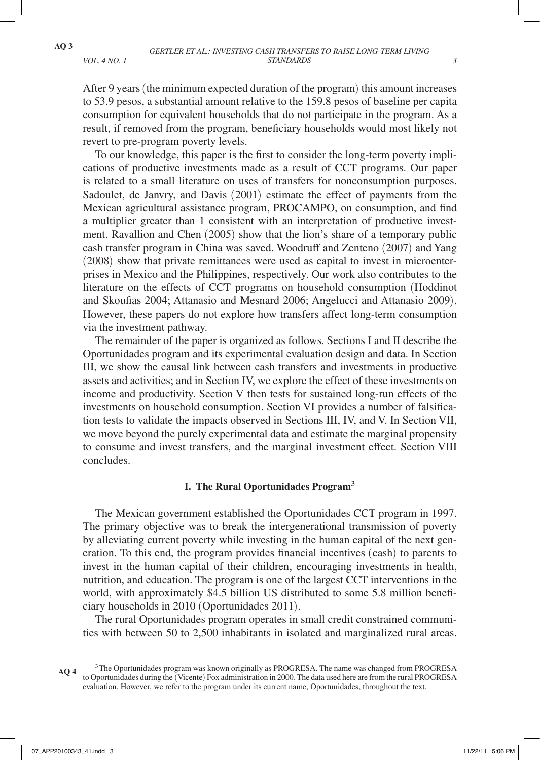After 9 years (the minimum expected duration of the program) this amount increases to 53.9 pesos, a substantial amount relative to the 159.8 pesos of baseline per capita consumption for equivalent households that do not participate in the program. As a result, if removed from the program, beneficiary households would most likely not revert to pre-program poverty levels.

To our knowledge, this paper is the first to consider the long-term poverty implications of productive investments made as a result of CCT programs. Our paper is related to a small literature on uses of transfers for nonconsumption purposes. Sadoulet, de Janvry, and Davis (2001) estimate the effect of payments from the Mexican agricultural assistance program, PROCAMPO, on consumption, and find a multiplier greater than 1 consistent with an interpretation of productive investment. Ravallion and Chen (2005) show that the lion's share of a temporary public cash transfer program in China was saved. Woodruff and Zenteno (2007) and Yang (2008) show that private remittances were used as capital to invest in microenterprises in Mexico and the Philippines, respectively. Our work also contributes to the literature on the effects of CCT programs on household consumption (Hoddinot and Skoufias 2004; Attanasio and Mesnard 2006; Angelucci and Attanasio 2009). However, these papers do not explore how transfers affect long-term consumption via the investment pathway.

The remainder of the paper is organized as follows. Sections I and II describe the Oportunidades program and its experimental evaluation design and data. In Section III, we show the causal link between cash transfers and investments in productive assets and activities; and in Section IV, we explore the effect of these investments on income and productivity. Section V then tests for sustained long-run effects of the investments on household consumption. Section VI provides a number of falsification tests to validate the impacts observed in Sections III, IV, and V. In Section VII, we move beyond the purely experimental data and estimate the marginal propensity to consume and invest transfers, and the marginal investment effect. Section VIII concludes.

# **I. The Rural Oportunidades Program**<sup>3</sup>

The Mexican government established the Oportunidades CCT program in 1997. The primary objective was to break the intergenerational transmission of poverty by alleviating current poverty while investing in the human capital of the next generation. To this end, the program provides financial incentives (cash) to parents to invest in the human capital of their children, encouraging investments in health, nutrition, and education. The program is one of the largest CCT interventions in the world, with approximately \$4.5 billion US distributed to some 5.8 million beneficiary households in 2010 (Oportunidades 2011).

The rural Oportunidades program operates in small credit constrained communities with between 50 to 2,500 inhabitants in isolated and marginalized rural areas.

<sup>3</sup>The Oportunidades program was known originally as PROGRESA. The name was changed from PROGRESA to Oportunidades during the (Vicente) Fox administration in 2000. The data used here are from the rural PROGRESA evaluation. However, we refer to the program under its current name, Oportunidades, throughout the text. **AQ 4**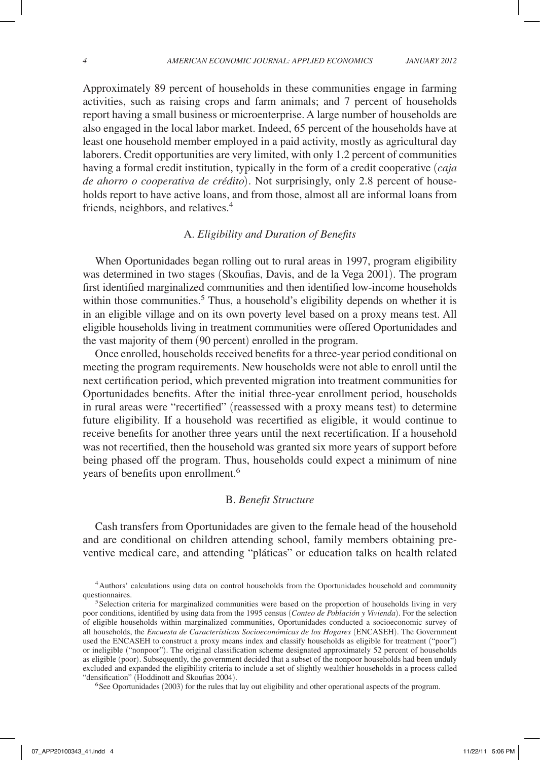Approximately 89 percent of households in these communities engage in farming activities, such as raising crops and farm animals; and 7 percent of households report having a small business or microenterprise. A large number of households are also engaged in the local labor market. Indeed, 65 percent of the households have at least one household member employed in a paid activity, mostly as agricultural day laborers. Credit opportunities are very limited, with only 1.2 percent of communities having a formal credit institution, typically in the form of a credit cooperative (*caja de ahorro o cooperativa de crédito*). Not surprisingly, only 2.8 percent of households report to have active loans, and from those, almost all are informal loans from friends, neighbors, and relatives.<sup>4</sup>

# A. *Eligibility and Duration of Benefits*

When Oportunidades began rolling out to rural areas in 1997, program eligibility was determined in two stages (Skoufias, Davis, and de la Vega 2001). The program first identified marginalized communities and then identified low-income households within those communities.<sup>5</sup> Thus, a household's eligibility depends on whether it is in an eligible village and on its own poverty level based on a proxy means test. All eligible households living in treatment communities were offered Oportunidades and the vast majority of them (90 percent) enrolled in the program.

Once enrolled, households received benefits for a three-year period conditional on meeting the program requirements. New households were not able to enroll until the next certification period, which prevented migration into treatment communities for Oportunidades benefits. After the initial three-year enrollment period, households in rural areas were "recertified" (reassessed with a proxy means test) to determine future eligibility. If a household was recertified as eligible, it would continue to receive benefits for another three years until the next recertification. If a household was not recertified, then the household was granted six more years of support before being phased off the program. Thus, households could expect a minimum of nine years of benefits upon enrollment.<sup>6</sup>

## B. *Benefit Structure*

Cash transfers from Oportunidades are given to the female head of the household and are conditional on children attending school, family members obtaining preventive medical care, and attending "pláticas" or education talks on health related

 $<sup>6</sup>$  See Oportunidades (2003) for the rules that lay out eligibility and other operational aspects of the program.</sup>

<sup>4</sup>Authors' calculations using data on control households from the Oportunidades household and community questionnaires.<br><sup>5</sup>Selection criteria for marginalized communities were based on the proportion of households living in very

poor conditions, identified by using data from the 1995 census (*Conteo de Población y Vivienda*). For the selection of eligible households within marginalized communities, Oportunidades conducted a socioeconomic survey of all households, the *Encuesta de Características Socioeconómicas de los Hogares* (ENCASEH). The Government used the ENCASEH to construct a proxy means index and classify households as eligible for treatment ("poor") or ineligible ("nonpoor"). The original classification scheme designated approximately 52 percent of households as eligible (poor). Subsequently, the government decided that a subset of the nonpoor households had been unduly excluded and expanded the eligibility criteria to include a set of slightly wealthier households in a process called "densification" (Hoddinott and Skoufias 2004).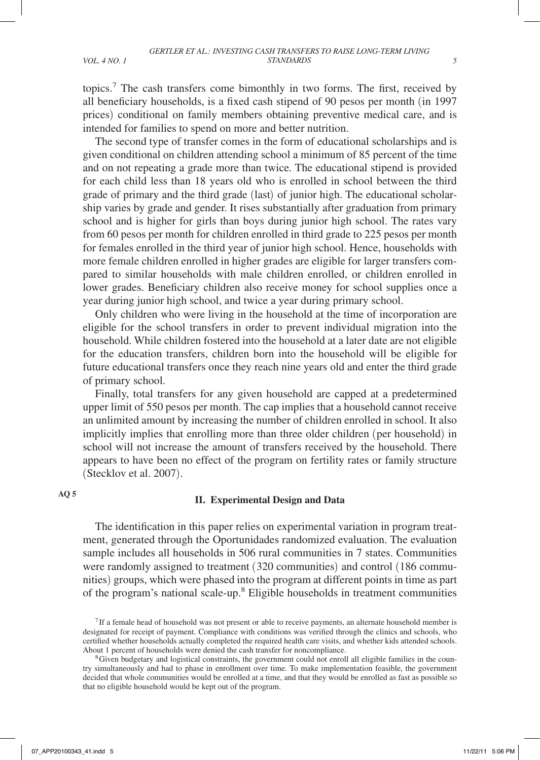topics.7 The cash transfers come bimonthly in two forms. The first, received by all beneficiary households, is a fixed cash stipend of 90 pesos per month (in 1997 prices) conditional on family members obtaining preventive medical care, and is intended for families to spend on more and better nutrition.

The second type of transfer comes in the form of educational scholarships and is given conditional on children attending school a minimum of 85 percent of the time and on not repeating a grade more than twice. The educational stipend is provided for each child less than 18 years old who is enrolled in school between the third grade of primary and the third grade (last) of junior high. The educational scholarship varies by grade and gender. It rises substantially after graduation from primary school and is higher for girls than boys during junior high school. The rates vary from 60 pesos per month for children enrolled in third grade to 225 pesos per month for females enrolled in the third year of junior high school. Hence, households with more female children enrolled in higher grades are eligible for larger transfers compared to similar households with male children enrolled, or children enrolled in lower grades. Beneficiary children also receive money for school supplies once a year during junior high school, and twice a year during primary school.

Only children who were living in the household at the time of incorporation are eligible for the school transfers in order to prevent individual migration into the household. While children fostered into the household at a later date are not eligible for the education transfers, children born into the household will be eligible for future educational transfers once they reach nine years old and enter the third grade of primary school.

Finally, total transfers for any given household are capped at a predetermined upper limit of 550 pesos per month. The cap implies that a household cannot receive an unlimited amount by increasing the number of children enrolled in school. It also implicitly implies that enrolling more than three older children (per household) in school will not increase the amount of transfers received by the household. There appears to have been no effect of the program on fertility rates or family structure (Stecklov et al. 2007).

**AQ 5**

#### **II. Experimental Design and Data**

The identification in this paper relies on experimental variation in program treatment, generated through the Oportunidades randomized evaluation. The evaluation sample includes all households in 506 rural communities in 7 states. Communities were randomly assigned to treatment (320 communities) and control (186 communities) groups, which were phased into the program at different points in time as part of the program's national scale-up.<sup>8</sup> Eligible households in treatment communities

<sup>&</sup>lt;sup>7</sup>If a female head of household was not present or able to receive payments, an alternate household member is designated for receipt of payment. Compliance with conditions was verified through the clinics and schools, who certified whether households actually completed the required health care visits, and whether kids attended schools. About 1 percent of households were denied the cash transfer for noncompliance.<br><sup>8</sup>Given budgetary and logistical constraints, the government could not enroll all eligible families in the coun-

try simultaneously and had to phase in enrollment over time. To make implementation feasible, the government decided that whole communities would be enrolled at a time, and that they would be enrolled as fast as possible so that no eligible household would be kept out of the program.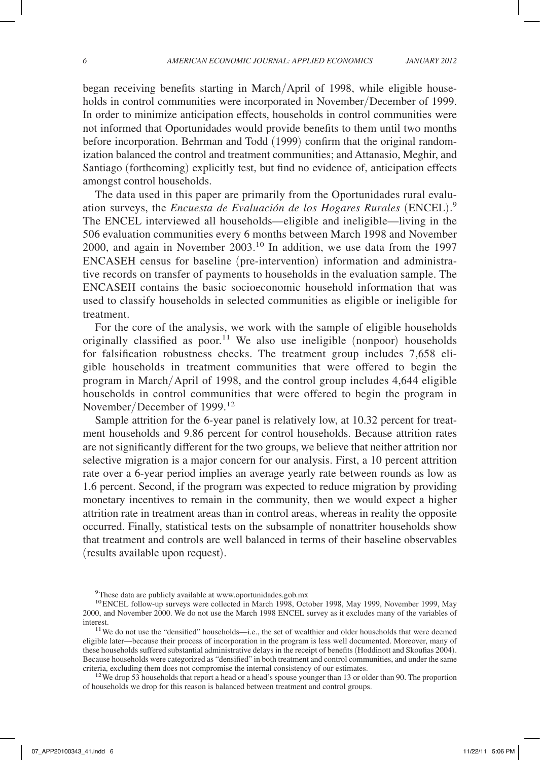began receiving benefits starting in March/April of 1998, while eligible households in control communities were incorporated in November/December of 1999. In order to minimize anticipation effects, households in control communities were not informed that Oportunidades would provide benefits to them until two months before incorporation. Behrman and Todd (1999) confirm that the original randomization balanced the control and treatment communities; and Attanasio, Meghir, and Santiago (forthcoming) explicitly test, but find no evidence of, anticipation effects amongst control households.

The data used in this paper are primarily from the Oportunidades rural evaluation surveys, the *Encuesta de Evaluación de los Hogares Rurales* (ENCEL). 9 The ENCEL interviewed all households—eligible and ineligible—living in the 506 evaluation communities every 6 months between March 1998 and November 2000, and again in November 2003.10 In addition, we use data from the 1997 ENCASEH census for baseline (pre-intervention) information and administrative records on transfer of payments to households in the evaluation sample. The ENCASEH contains the basic socioeconomic household information that was used to classify households in selected communities as eligible or ineligible for treatment.

For the core of the analysis, we work with the sample of eligible households originally classified as poor.<sup>11</sup> We also use ineligible (nonpoor) households for falsification robustness checks. The treatment group includes 7,658 eligible households in treatment communities that were offered to begin the program in March/April of 1998, and the control group includes 4,644 eligible households in control communities that were offered to begin the program in November/December of 1999.<sup>12</sup>

Sample attrition for the 6-year panel is relatively low, at 10.32 percent for treatment households and 9.86 percent for control households. Because attrition rates are not significantly different for the two groups, we believe that neither attrition nor selective migration is a major concern for our analysis. First, a 10 percent attrition rate over a 6-year period implies an average yearly rate between rounds as low as 1.6 percent. Second, if the program was expected to reduce migration by providing monetary incentives to remain in the community, then we would expect a higher attrition rate in treatment areas than in control areas, whereas in reality the opposite occurred. Finally, statistical tests on the subsample of nonattriter households show that treatment and controls are well balanced in terms of their baseline observables (results available upon request).

<sup>&</sup>lt;sup>9</sup>These data are publicly available at www.oportunidades.gob.mx

<sup>&</sup>lt;sup>10</sup>ENCEL follow-up surveys were collected in March 1998, October 1998, May 1999, November 1999, May 2000, and November 2000. We do not use the March 1998 ENCEL survey as it excludes many of the variables of

interest. 11We do not use the "densified" households—i.e., the set of wealthier and older households that were deemed eligible later—because their process of incorporation in the program is less well documented. Moreover, many of these households suffered substantial administrative delays in the receipt of benefits (Hoddinott and Skoufias 2004). Because households were categorized as "densified" in both treatment and control communities, and under the same criteria, excluding them does not compromise the internal consistency of our estimates. 12We drop 53 households that report a head or a head's spouse younger than 13 or older than 90. The proportion

of households we drop for this reason is balanced between treatment and control groups.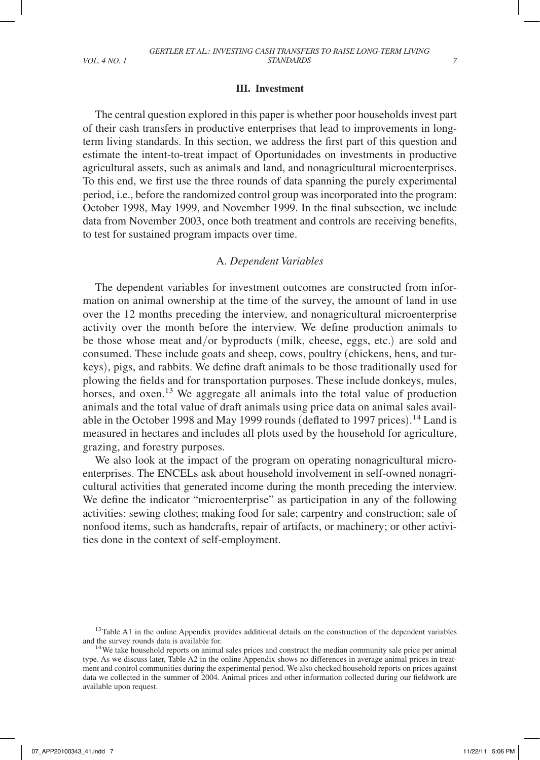## **III. Investment**

The central question explored in this paper is whether poor households invest part of their cash transfers in productive enterprises that lead to improvements in longterm living standards. In this section, we address the first part of this question and estimate the intent-to-treat impact of Oportunidades on investments in productive agricultural assets, such as animals and land, and nonagricultural microenterprises. To this end, we first use the three rounds of data spanning the purely experimental period, i.e., before the randomized control group was incorporated into the program: October 1998, May 1999, and November 1999. In the final subsection, we include data from November 2003, once both treatment and controls are receiving benefits, to test for sustained program impacts over time.

#### A. *Dependent Variables*

The dependent variables for investment outcomes are constructed from information on animal ownership at the time of the survey, the amount of land in use over the 12 months preceding the interview, and nonagricultural microenterprise activity over the month before the interview. We define production animals to be those whose meat and/or byproducts (milk, cheese, eggs, etc.) are sold and consumed. These include goats and sheep, cows, poultry (chickens, hens, and turkeys), pigs, and rabbits. We define draft animals to be those traditionally used for plowing the fields and for transportation purposes. These include donkeys, mules, horses, and oxen.<sup>13</sup> We aggregate all animals into the total value of production animals and the total value of draft animals using price data on animal sales available in the October 1998 and May 1999 rounds (deflated to 1997 prices). 14 Land is measured in hectares and includes all plots used by the household for agriculture, grazing, and forestry purposes.

We also look at the impact of the program on operating nonagricultural microenterprises. The ENCELs ask about household involvement in self-owned nonagricultural activities that generated income during the month preceding the interview. We define the indicator "microenterprise" as participation in any of the following activities: sewing clothes; making food for sale; carpentry and construction; sale of nonfood items, such as handcrafts, repair of artifacts, or machinery; or other activities done in the context of self-employment.

<sup>&</sup>lt;sup>13</sup>Table A1 in the online Appendix provides additional details on the construction of the dependent variables and the survey rounds data is available for.<br><sup>14</sup>We take household reports on animal sales prices and construct the median community sale price per animal

type. As we discuss later, Table A2 in the online Appendix shows no differences in average animal prices in treatment and control communities during the experimental period. We also checked household reports on prices against data we collected in the summer of 2004. Animal prices and other information collected during our fieldwork are available upon request.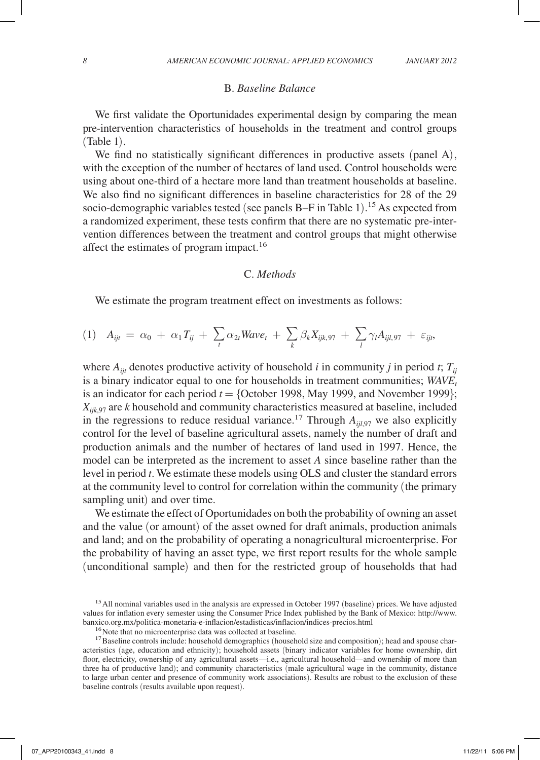#### B. *Baseline Balance*

We first validate the Oportunidades experimental design by comparing the mean pre-intervention characteristics of households in the treatment and control groups (Table 1).

We find no statistically significant differences in productive assets (panel A), with the exception of the number of hectares of land used. Control households were using about one-third of a hectare more land than treatment households at baseline. We also find no significant differences in baseline characteristics for 28 of the 29 socio-demographic variables tested (see panels B–F in Table 1). 15 As expected from a randomized experiment, these tests confirm that there are no systematic pre-intervention differences between the treatment and control groups that might otherwise affect the estimates of program impact.<sup>16</sup>

## C. *Methods*

We estimate the program treatment effect on investments as follows:

(1) 
$$
A_{ijt} = \alpha_0 + \alpha_1 T_{ij} + \sum_t \alpha_{2t} W a v e_t + \sum_k \beta_k X_{ijk,97} + \sum_l \gamma_l A_{ijl,97} + \varepsilon_{ijt},
$$

where  $A_{ijt}$  denotes productive activity of household *i* in community *j* in period *t*;  $T_{ij}$ is a binary indicator equal to one for households in treatment communities; *WAVE<sub>t</sub>* is an indicator for each period  $t = \{$ October 1998, May 1999, and November 1999 $\};$ *Xijk*,97 are *k* household and community characteristics measured at baseline, included in the regressions to reduce residual variance.<sup>17</sup> Through  $A_{ii,97}$  we also explicitly control for the level of baseline agricultural assets, namely the number of draft and production animals and the number of hectares of land used in 1997. Hence, the model can be interpreted as the increment to asset *A* since baseline rather than the level in period *t*. We estimate these models using OLS and cluster the standard errors at the community level to control for correlation within the community (the primary sampling unit) and over time.

We estimate the effect of Oportunidades on both the probability of owning an asset and the value (or amount) of the asset owned for draft animals, production animals and land; and on the probability of operating a nonagricultural microenterprise. For the probability of having an asset type, we first report results for the whole sample (unconditional sample) and then for the restricted group of households that had

<sup>&</sup>lt;sup>15</sup> All nominal variables used in the analysis are expressed in October 1997 (baseline) prices. We have adjusted values for inflation every semester using the Consumer Price Index published by the Bank of Mexico: http://www. banxico.org.mx/politica-monetaria-e-inflacion/estadisticas/inflacion/indices-precios.html<br><sup>16</sup>Note that no microenterprise data was collected at baseline.<br><sup>17</sup>Baseline controls include: household demographics (household si

acteristics (age, education and ethnicity); household assets (binary indicator variables for home ownership, dirt floor, electricity, ownership of any agricultural assets—i.e., agricultural household—and ownership of more than three ha of productive land); and community characteristics (male agricultural wage in the community, distance to large urban center and presence of community work associations). Results are robust to the exclusion of these baseline controls (results available upon request).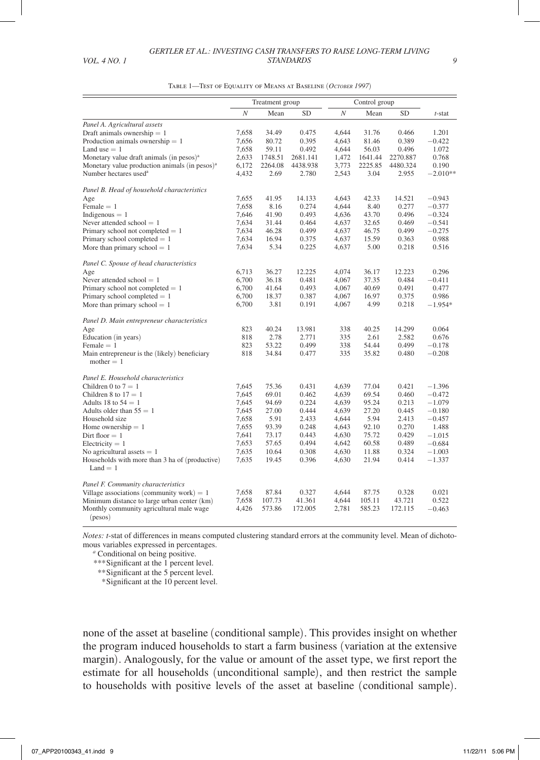|                                                               | Treatment group  |         |           | Control group    |         |                |                      |
|---------------------------------------------------------------|------------------|---------|-----------|------------------|---------|----------------|----------------------|
|                                                               | $\boldsymbol{N}$ | Mean    | <b>SD</b> | $\boldsymbol{N}$ | Mean    | <b>SD</b>      | $t$ -stat            |
| Panel A. Agricultural assets                                  |                  |         |           |                  |         |                |                      |
| Draft animals ownership $= 1$                                 | 7,658            | 34.49   | 0.475     | 4.644            | 31.76   | 0.466          | 1.201                |
| Production animals ownership $= 1$                            | 7,656            | 80.72   | 0.395     | 4,643            | 81.46   | 0.389          | $-0.422$             |
| Land use $= 1$                                                | 7,658            | 59.11   | 0.492     | 4,644            | 56.03   | 0.496          | 1.072                |
| Monetary value draft animals (in pesos) <sup>a</sup>          | 2,633            | 1748.51 | 2681.141  | 1,472            | 1641.44 | 2270.887       | 0.768                |
| Monetary value production animals (in pesos) <sup>a</sup>     | 6,172            | 2264.08 | 4438.938  | 3,773            | 2225.85 | 4480.324       | 0.190                |
| Number hectares used <sup>a</sup>                             | 4,432            | 2.69    | 2.780     | 2,543            | 3.04    | 2.955          | $-2.010**$           |
| Panel B. Head of household characteristics                    |                  |         |           |                  |         |                |                      |
| Age                                                           | 7,655            | 41.95   | 14.133    | 4,643            | 42.33   | 14.521         | $-0.943$             |
| Female $= 1$                                                  | 7,658            | 8.16    | 0.274     | 4,644            | 8.40    | 0.277          | $-0.377$             |
| Indigenous $= 1$                                              | 7,646            | 41.90   | 0.493     | 4,636            | 43.70   | 0.496          | $-0.324$             |
| Never attended school $= 1$                                   | 7,634            | 31.44   | 0.464     | 4,637            | 32.65   | 0.469          | $-0.541$             |
| Primary school not completed $= 1$                            | 7,634            | 46.28   | 0.499     | 4,637            | 46.75   | 0.499          | $-0.275$             |
| Primary school completed $= 1$                                | 7,634            | 16.94   | 0.375     | 4,637            | 15.59   | 0.363          | 0.988                |
| More than primary school $= 1$                                | 7,634            | 5.34    | 0.225     | 4,637            | 5.00    | 0.218          | 0.516                |
| Panel C. Spouse of head characteristics                       |                  |         |           |                  |         |                |                      |
| Age                                                           | 6.713            | 36.27   | 12.225    | 4.074            | 36.17   | 12.223         | 0.296                |
| Never attended school $= 1$                                   | 6,700            | 36.18   | 0.481     | 4,067            | 37.35   | 0.484          | $-0.411$             |
| Primary school not completed $= 1$                            | 6,700            | 41.64   | 0.493     | 4,067            | 40.69   | 0.491          | 0.477                |
| Primary school completed $= 1$                                | 6,700            | 18.37   | 0.387     | 4,067            | 16.97   | 0.375          | 0.986                |
| More than primary school $= 1$                                | 6,700            | 3.81    | 0.191     | 4,067            | 4.99    | 0.218          | $-1.954*$            |
| Panel D. Main entrepreneur characteristics                    |                  |         |           |                  |         |                |                      |
| Age                                                           | 823              | 40.24   | 13.981    | 338              | 40.25   | 14.299         | 0.064                |
| Education (in years)                                          | 818              | 2.78    | 2.771     | 335              | 2.61    | 2.582          | 0.676                |
| Female $= 1$                                                  | 823              | 53.22   | 0.499     | 338              | 54.44   | 0.499          | $-0.178$             |
| Main entrepreneur is the (likely) beneficiary<br>mother $= 1$ | 818              | 34.84   | 0.477     | 335              | 35.82   | 0.480          | $-0.208$             |
|                                                               |                  |         |           |                  |         |                |                      |
| Panel E. Household characteristics<br>Children 0 to $7 = 1$   | 7.645            | 75.36   | 0.431     | 4.639            | 77.04   | 0.421          | $-1.396$             |
| Children 8 to $17 = 1$                                        | 7,645            | 69.01   | 0.462     | 4,639            | 69.54   | 0.460          | $-0.472$             |
| Adults 18 to $54 = 1$                                         | 7,645            | 94.69   | 0.224     | 4,639            | 95.24   | 0.213          | $-1.079$             |
| Adults older than $55 = 1$                                    | 7,645            | 27.00   | 0.444     | 4.639            | 27.20   | 0.445          | $-0.180$             |
| Household size                                                | 7.658            | 5.91    | 2.433     | 4.644            | 5.94    | 2.413          | $-0.457$             |
|                                                               | 7,655            | 93.39   | 0.248     | 4,643            | 92.10   | 0.270          | 1.488                |
| Home ownership $= 1$<br>Dirt floor $= 1$                      | 7,641            | 73.17   | 0.443     | 4,630            | 75.72   | 0.429          | $-1.015$             |
| Electricity $= 1$                                             | 7,653            | 57.65   | 0.494     | 4,642            | 60.58   | 0.489          | $-0.684$             |
|                                                               |                  | 10.64   |           |                  | 11.88   |                |                      |
| No agricultural assets $= 1$                                  | 7,635<br>7,635   | 19.45   | 0.308     | 4,630            | 21.94   | 0.324<br>0.414 | $-1.003$<br>$-1.337$ |
| Households with more than 3 ha of (productive)<br>$Land = 1$  |                  |         | 0.396     | 4,630            |         |                |                      |
| Panel F. Community characteristics                            |                  |         |           |                  |         |                |                      |
| Village associations (community work) $= 1$                   | 7,658            | 87.84   | 0.327     | 4,644            | 87.75   | 0.328          | 0.021                |
| Minimum distance to large urban center (km)                   | 7,658            | 107.73  | 41.361    | 4,644            | 105.11  | 43.721         | 0.522                |
| Monthly community agricultural male wage                      | 4,426            | 573.86  | 172.005   | 2,781            | 585.23  | 172.115        | $-0.463$             |
| (pesos)                                                       |                  |         |           |                  |         |                |                      |

Table 1—Test of Equality of Means at Baseline (*October 1997*)

*Notes: t*-stat of differences in means computed clustering standard errors at the community level. Mean of dichotomous variables expressed in percentages.

*<sup>a</sup>* Conditional on being positive.

*\*\*\**Significant at the 1 percent level.

*\*\**Significant at the 5 percent level.

 *\**Significant at the 10 percent level.

none of the asset at baseline (conditional sample). This provides insight on whether the program induced households to start a farm business (variation at the extensive margin). Analogously, for the value or amount of the asset type, we first report the estimate for all households (unconditional sample), and then restrict the sample to households with positive levels of the asset at baseline (conditional sample).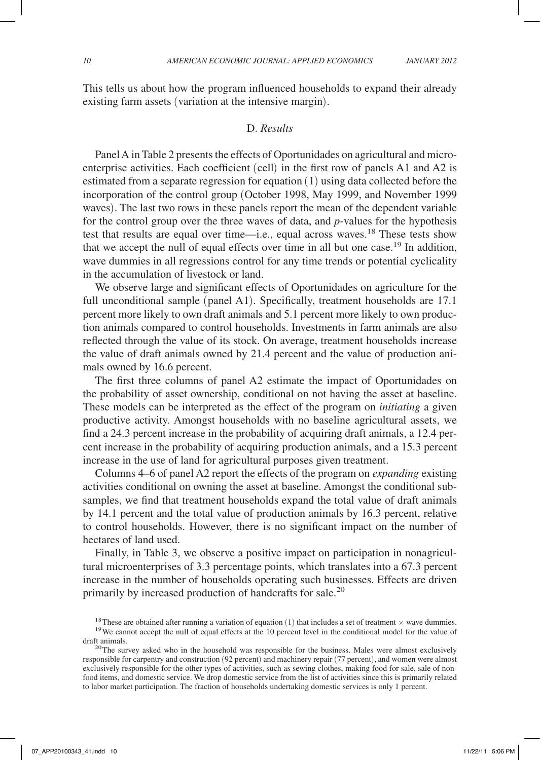This tells us about how the program influenced households to expand their already existing farm assets (variation at the intensive margin).

#### D. *Results*

Panel A in Table 2 presents the effects of Oportunidades on agricultural and microenterprise activities. Each coefficient (cell) in the first row of panels A1 and A2 is estimated from a separate regression for equation (1) using data collected before the incorporation of the control group (October 1998, May 1999, and November 1999 waves). The last two rows in these panels report the mean of the dependent variable for the control group over the three waves of data, and *p*-values for the hypothesis test that results are equal over time—i.e., equal across waves.18 These tests show that we accept the null of equal effects over time in all but one case.<sup>19</sup> In addition, wave dummies in all regressions control for any time trends or potential cyclicality in the accumulation of livestock or land.

We observe large and significant effects of Oportunidades on agriculture for the full unconditional sample (panel A1). Specifically, treatment households are 17.1 percent more likely to own draft animals and 5.1 percent more likely to own production animals compared to control households. Investments in farm animals are also reflected through the value of its stock. On average, treatment households increase the value of draft animals owned by 21.4 percent and the value of production animals owned by 16.6 percent.

The first three columns of panel A2 estimate the impact of Oportunidades on the probability of asset ownership, conditional on not having the asset at baseline. These models can be interpreted as the effect of the program on *initiating* a given productive activity. Amongst households with no baseline agricultural assets, we find a 24.3 percent increase in the probability of acquiring draft animals, a 12.4 percent increase in the probability of acquiring production animals, and a 15.3 percent increase in the use of land for agricultural purposes given treatment.

Columns 4–6 of panel A2 report the effects of the program on *expanding* existing activities conditional on owning the asset at baseline. Amongst the conditional subsamples, we find that treatment households expand the total value of draft animals by 14.1 percent and the total value of production animals by 16.3 percent, relative to control households. However, there is no significant impact on the number of hectares of land used.

Finally, in Table 3, we observe a positive impact on participation in nonagricultural microenterprises of 3.3 percentage points, which translates into a 67.3 percent increase in the number of households operating such businesses. Effects are driven primarily by increased production of handcrafts for sale.<sup>20</sup>

<sup>&</sup>lt;sup>18</sup>These are obtained after running a variation of equation (1) that includes a set of treatment  $\times$  wave dummies. <sup>19</sup>We cannot accept the null of equal effects at the 10 percent level in the conditional model for the

draft animals.<br><sup>20</sup>The survey asked who in the household was responsible for the business. Males were almost exclusively responsible for carpentry and construction (92 percent) and machinery repair (77 percent), and women were almost exclusively responsible for the other types of activities, such as sewing clothes, making food for sale, sale of nonfood items, and domestic service. We drop domestic service from the list of activities since this is primarily related to labor market participation. The fraction of households undertaking domestic services is only 1 percent.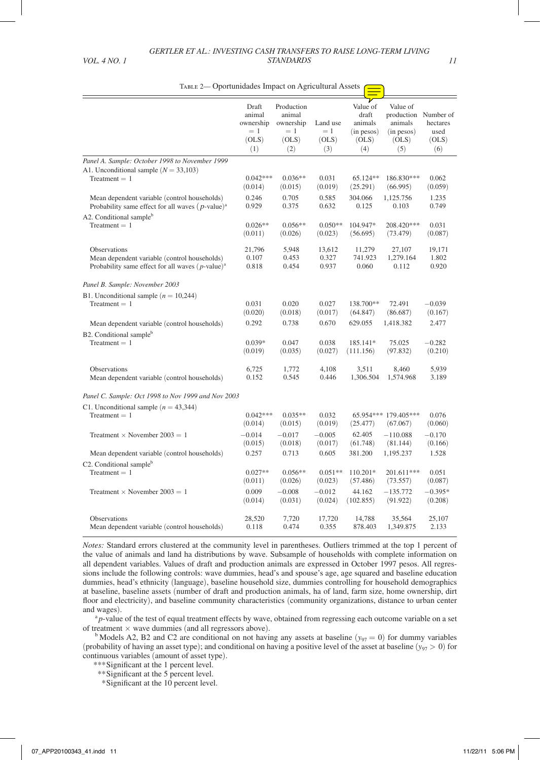TABLE 2— Oportunidades Impact on Agricultural Assets  $\left(\right)$ 

|                                                                 | Draft<br>animal<br>ownership<br>$=$ 1<br>(OLS)<br>(1) | Production<br>animal<br>ownership<br>$=$ 1<br>(OLS)<br>(2) | Land use<br>$=1$<br>(OLS)<br>(3) | Value of<br>draft<br>animals<br>$(in$ pesos $)$<br>(OLS)<br>(4) | Value of<br>animals<br>$(in$ pesos $)$<br>(OLS)<br>(5) | production Number of<br>hectares<br>used<br>(OLS)<br>(6) |
|-----------------------------------------------------------------|-------------------------------------------------------|------------------------------------------------------------|----------------------------------|-----------------------------------------------------------------|--------------------------------------------------------|----------------------------------------------------------|
| Panel A. Sample: October 1998 to November 1999                  |                                                       |                                                            |                                  |                                                                 |                                                        |                                                          |
| A1. Unconditional sample $(N = 33,103)$                         | $0.042***$                                            | $0.036**$                                                  | 0.031                            | $65.124**$                                                      | 186.830***                                             | 0.062                                                    |
| $Treatment = 1$                                                 | (0.014)                                               | (0.015)                                                    | (0.019)                          | (25.291)                                                        | (66.995)                                               | (0.059)                                                  |
| Mean dependent variable (control households)                    | 0.246                                                 | 0.705                                                      | 0.585                            | 304.066                                                         | 1,125.756                                              | 1.235                                                    |
| Probability same effect for all waves $(p$ -value) <sup>a</sup> | 0.929                                                 | 0.375                                                      | 0.632                            | 0.125                                                           | 0.103                                                  | 0.749                                                    |
| A2. Conditional sample <sup>b</sup>                             | $0.026**$                                             | $0.056**$                                                  | $0.050**$                        | 104.947*                                                        | 208.420***                                             | 0.031                                                    |
| Treatment $= 1$                                                 | (0.011)                                               | (0.026)                                                    | (0.023)                          | (56.695)                                                        | (73.479)                                               | (0.087)                                                  |
| <b>Observations</b>                                             | 21,796                                                | 5,948                                                      | 13,612                           | 11,279                                                          | 27,107                                                 | 19,171                                                   |
| Mean dependent variable (control households)                    | 0.107                                                 | 0.453                                                      | 0.327                            | 741.923                                                         | 1.279.164                                              | 1.802                                                    |
| Probability same effect for all waves $(p$ -value $)^a$         | 0.818                                                 | 0.454                                                      | 0.937                            | 0.060                                                           | 0.112                                                  | 0.920                                                    |
| Panel B. Sample: November 2003                                  |                                                       |                                                            |                                  |                                                                 |                                                        |                                                          |
| B1. Unconditional sample $(n = 10,244)$                         | 0.031                                                 | 0.020                                                      | 0.027                            | 138.700**                                                       | 72.491                                                 | $-0.039$                                                 |
| Treatment $= 1$                                                 | (0.020)                                               | (0.018)                                                    | (0.017)                          | (64.847)                                                        | (86.687)                                               | (0.167)                                                  |
| Mean dependent variable (control households)                    | 0.292                                                 | 0.738                                                      | 0.670                            | 629.055                                                         | 1,418.382                                              | 2.477                                                    |
| B2. Conditional sample <sup>b</sup>                             | $0.039*$                                              | 0.047                                                      | 0.038                            | 185.141*                                                        | 75.025                                                 | $-0.282$                                                 |
| $Treatment = 1$                                                 | (0.019)                                               | (0.035)                                                    | (0.027)                          | (111.156)                                                       | (97.832)                                               | (0.210)                                                  |
| Observations                                                    | 6.725                                                 | 1,772                                                      | 4.108                            | 3.511                                                           | 8,460                                                  | 5.939                                                    |
| Mean dependent variable (control households)                    | 0.152                                                 | 0.545                                                      | 0.446                            | 1,306.504                                                       | 1,574.968                                              | 3.189                                                    |
| Panel C. Sample: Oct 1998 to Nov 1999 and Nov 2003              |                                                       |                                                            |                                  |                                                                 |                                                        |                                                          |
| C1. Unconditional sample $(n = 43,344)$                         | $0.042***$                                            | $0.035**$                                                  | 0.032                            | (25.477)                                                        | 65.954*** 179.405***                                   | 0.076                                                    |
| Treatment $= 1$                                                 | (0.014)                                               | (0.015)                                                    | (0.019)                          |                                                                 | (67.067)                                               | (0.060)                                                  |
| Treatment $\times$ November 2003 = 1                            | $-0.014$                                              | $-0.017$                                                   | $-0.005$                         | 62.405                                                          | $-110.088$                                             | $-0.170$                                                 |
|                                                                 | (0.015)                                               | (0.018)                                                    | (0.017)                          | (61.748)                                                        | (81.144)                                               | (0.166)                                                  |
| Mean dependent variable (control households)                    | 0.257                                                 | 0.713                                                      | 0.605                            | 381.200                                                         | 1,195.237                                              | 1.528                                                    |
| C <sub>2</sub> . Conditional sample <sup>b</sup>                | $0.027**$                                             | $0.056**$                                                  | $0.051**$                        | $110.201*$                                                      | 201.611***                                             | 0.051                                                    |
| $Treatment = 1$                                                 | (0.011)                                               | (0.026)                                                    | (0.023)                          | (57.486)                                                        | (73.557)                                               | (0.087)                                                  |
| Treatment $\times$ November 2003 = 1                            | 0.009                                                 | $-0.008$                                                   | $-0.012$                         | 44.162                                                          | $-135.772$                                             | $-0.395*$                                                |
|                                                                 | (0.014)                                               | (0.031)                                                    | (0.024)                          | (102.855)                                                       | (91.922)                                               | (0.208)                                                  |
| <b>Observations</b>                                             | 28,520                                                | 7,720                                                      | 17,720                           | 14,788                                                          | 35,564                                                 | 25,107                                                   |
| Mean dependent variable (control households)                    | 0.118                                                 | 0.474                                                      | 0.355                            | 878.403                                                         | 1,349.875                                              | 2.133                                                    |

*Notes:* Standard errors clustered at the community level in parentheses. Outliers trimmed at the top 1 percent of the value of animals and land ha distributions by wave. Subsample of households with complete information on all dependent variables. Values of draft and production animals are expressed in October 1997 pesos. All regressions include the following controls: wave dummies, head's and spouse's age, age squared and baseline education dummies, head's ethnicity (language), baseline household size, dummies controlling for household demographics at baseline, baseline assets (number of draft and production animals, ha of land, farm size, home ownership, dirt floor and electricity), and baseline community characteristics (community organizations, distance to urban center and wages).

<sup>a</sup> *p*-value of the test of equal treatment effects by wave, obtained from regressing each outcome variable on a set

of treatment  $\times$  wave dummies (and all regressors above).<br><sup>b</sup> Models A2, B2 and C2 are conditional on not having any assets at baseline ( $y_{97} = 0$ ) for dummy variables (probability of having an asset type); and conditional on having a positive level of the asset at baseline  $(y_{97} > 0)$  for continuous variables (amount of asset type).

*\*\*\**Significant at the 1 percent level.

*\*\**Significant at the 5 percent level.

 *\**Significant at the 10 percent level.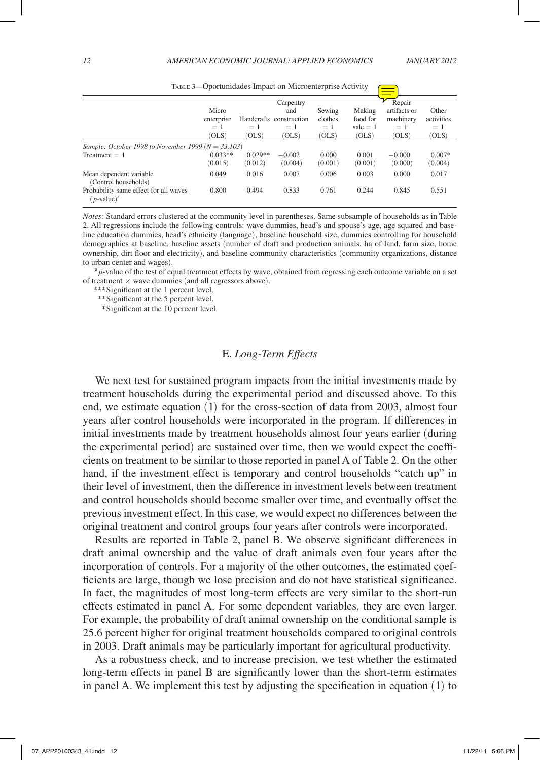|                                                                    |                      |                      | Carpentry               |                  |                  | Repair              |                     |
|--------------------------------------------------------------------|----------------------|----------------------|-------------------------|------------------|------------------|---------------------|---------------------|
|                                                                    | Micro                |                      | and                     | Sewing           | Making           | artifacts or        | Other               |
|                                                                    | enterprise           |                      | Handcrafts construction | clothes          | food for         | machinery           | activities          |
|                                                                    | $=1$                 | $=1$                 | $=1$                    | $=1$             | sale $= 1$       | $=1$                | $=1$                |
|                                                                    | (OLS)                | (OLS)                | (OLS)                   | (OLS)            | (OLS)            | (OLS)               | (OLS)               |
| <i>Sample: October 1998 to November 1999</i> ( $N = 33,103$ )      |                      |                      |                         |                  |                  |                     |                     |
| $Treatment = 1$                                                    | $0.033**$<br>(0.015) | $0.029**$<br>(0.012) | $-0.002$<br>(0.004)     | 0.000<br>(0.001) | 0.001<br>(0.001) | $-0.000$<br>(0.000) | $0.007*$<br>(0.004) |
| Mean dependent variable<br>(Control households)                    | 0.049                | 0.016                | 0.007                   | 0.006            | 0.003            | 0.000               | 0.017               |
| Probability same effect for all waves<br>$(p$ -value) <sup>a</sup> | 0.800                | 0.494                | 0.833                   | 0.761            | 0.244            | 0.845               | 0.551               |

TABLE 3—Oportunidades Impact on Microenterprise Activity

*Notes:* Standard errors clustered at the community level in parentheses. Same subsample of households as in Table 2. All regressions include the following controls: wave dummies, head's and spouse's age, age squared and baseline education dummies, head's ethnicity (language), baseline household size, dummies controlling for household demographics at baseline, baseline assets (number of draft and production animals, ha of land, farm size, home ownership, dirt floor and electricity), and baseline community characteristics (community organizations, distance to urban center and wages).

<sup>a</sup> *p*-value of the test of equal treatment effects by wave, obtained from regressing each outcome variable on a set of treatment  $\times$  wave dummies (and all regressors above).

*\*\*\**Significant at the 1 percent level.

*\*\**Significant at the 5 percent level.

 *\**Significant at the 10 percent level.

## E. *Long-Term Effects*

We next test for sustained program impacts from the initial investments made by treatment households during the experimental period and discussed above. To this end, we estimate equation (1) for the cross-section of data from 2003, almost four years after control households were incorporated in the program. If differences in initial investments made by treatment households almost four years earlier (during the experimental period) are sustained over time, then we would expect the coefficients on treatment to be similar to those reported in panel A of Table 2. On the other hand, if the investment effect is temporary and control households "catch up" in their level of investment, then the difference in investment levels between treatment and control households should become smaller over time, and eventually offset the previous investment effect. In this case, we would expect no differences between the original treatment and control groups four years after controls were incorporated.

Results are reported in Table 2, panel B. We observe significant differences in draft animal ownership and the value of draft animals even four years after the incorporation of controls. For a majority of the other outcomes, the estimated coefficients are large, though we lose precision and do not have statistical significance. In fact, the magnitudes of most long-term effects are very similar to the short-run effects estimated in panel A. For some dependent variables, they are even larger. For example, the probability of draft animal ownership on the conditional sample is 25.6 percent higher for original treatment households compared to original controls in 2003. Draft animals may be particularly important for agricultural productivity.

As a robustness check, and to increase precision, we test whether the estimated long-term effects in panel B are significantly lower than the short-term estimates in panel A. We implement this test by adjusting the specification in equation (1) to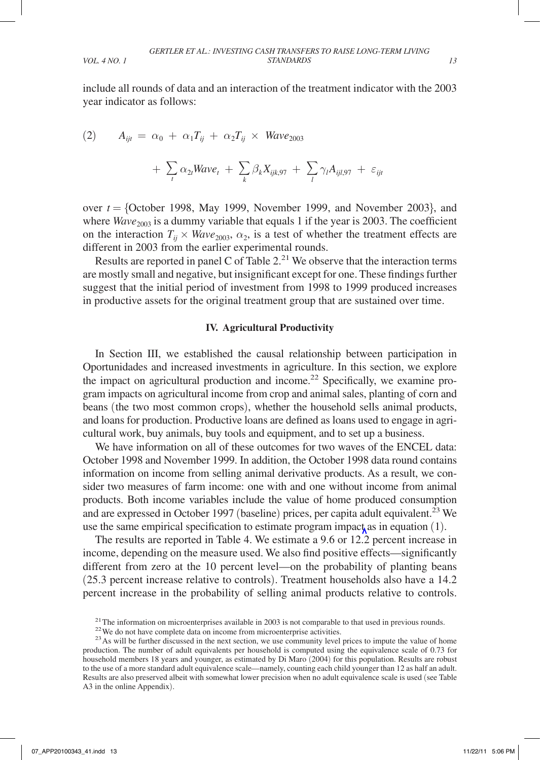include all rounds of data and an interaction of the treatment indicator with the 2003 year indicator as follows:

(2) 
$$
A_{ijt} = \alpha_0 + \alpha_1 T_{ij} + \alpha_2 T_{ij} \times Wave_{2003} + \sum_t \alpha_{2t} Wave_t + \sum_k \beta_k X_{ijk,97} + \sum_l \gamma_l A_{ijl,97} + \varepsilon_{ijt}
$$

over  $t = \{October\ 1998, May\ 1999, November\ 1999, and November\ 2003\}$ , and where  $Wave_{2003}$  is a dummy variable that equals 1 if the year is 2003. The coefficient on the interaction  $T_{ij} \times Wave_{2003}$ ,  $\alpha_2$ , is a test of whether the treatment effects are different in 2003 from the earlier experimental rounds.

Results are reported in panel C of Table  $2<sup>21</sup>$  We observe that the interaction terms are mostly small and negative, but insignificant except for one. These findings further suggest that the initial period of investment from 1998 to 1999 produced increases in productive assets for the original treatment group that are sustained over time.

### **IV. Agricultural Productivity**

In Section III, we established the causal relationship between participation in Oportunidades and increased investments in agriculture. In this section, we explore the impact on agricultural production and income.<sup>22</sup> Specifically, we examine program impacts on agricultural income from crop and animal sales, planting of corn and beans (the two most common crops), whether the household sells animal products, and loans for production. Productive loans are defined as loans used to engage in agricultural work, buy animals, buy tools and equipment, and to set up a business.

We have information on all of these outcomes for two waves of the ENCEL data: October 1998 and November 1999. In addition, the October 1998 data round contains information on income from selling animal derivative products. As a result, we consider two measures of farm income: one with and one without income from animal products. Both income variables include the value of home produced consumption and are expressed in October 1997 (baseline) prices, per capita adult equivalent.<sup>23</sup> We use the same empirical specification to estimate program impact as in equation  $(1)$ .

The results are reported in Table 4. We estimate a 9.6 or 12.2 percent increase in income, depending on the measure used. We also find positive effects—significantly different from zero at the 10 percent level—on the probability of planting beans (25.3 percent increase relative to controls). Treatment households also have a 14.2 percent increase in the probability of selling animal products relative to controls.

<sup>&</sup>lt;sup>21</sup> The information on microenterprises available in 2003 is not comparable to that used in previous rounds.<br><sup>22</sup> We do not have complete data on income from microenterprise activities.<br><sup>23</sup> As will be further discussed

production. The number of adult equivalents per household is computed using the equivalence scale of 0.73 for household members 18 years and younger, as estimated by Di Maro (2004) for this population. Results are robust to the use of a more standard adult equivalence scale—namely, counting each child younger than 12 as half an adult. Results are also preserved albeit with somewhat lower precision when no adult equivalence scale is used (see Table A3 in the online Appendix).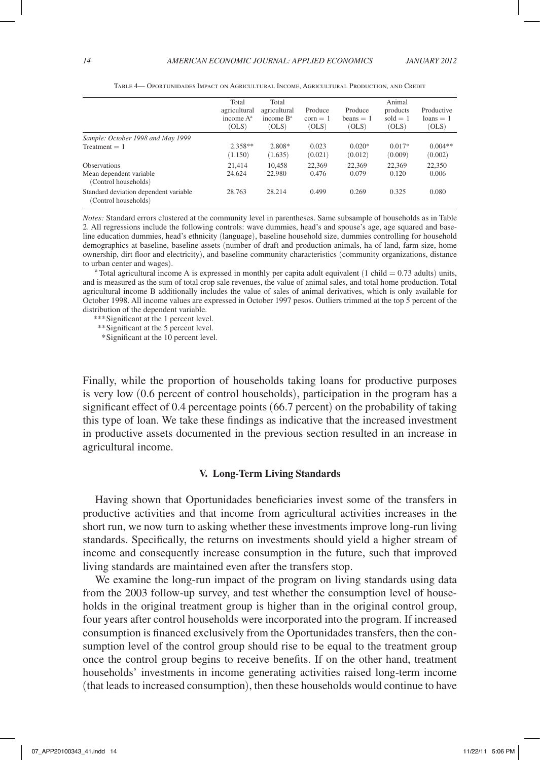|                                                               | Total<br>agricultural<br>income $A^a$<br>(OLS) | Total<br>agricultural<br>income $B^a$<br>(OLS) | Produce<br>$\text{corn} = 1$<br>(OLS) | Produce<br>$beans = 1$<br>(OLS) | Animal<br>products<br>sold $= 1$<br>(OLS) | Productive<br>$loans = 1$<br>(OLS) |
|---------------------------------------------------------------|------------------------------------------------|------------------------------------------------|---------------------------------------|---------------------------------|-------------------------------------------|------------------------------------|
| Sample: October 1998 and May 1999                             |                                                |                                                |                                       |                                 |                                           |                                    |
| $Treatment = 1$                                               | $2.358**$<br>(1.150)                           | 2.808*<br>(1.635)                              | 0.023<br>(0.021)                      | $0.020*$<br>(0.012)             | $0.017*$<br>(0.009)                       | $0.004**$<br>(0.002)               |
| <b>Observations</b>                                           | 21.414                                         | 10.458                                         | 22.369                                | 22.369                          | 22.369                                    | 22,350                             |
| Mean dependent variable<br>(Control households)               | 24.624                                         | 22.980                                         | 0.476                                 | 0.079                           | 0.120                                     | 0.006                              |
| Standard deviation dependent variable<br>(Control households) | 28.763                                         | 28.214                                         | 0.499                                 | 0.269                           | 0.325                                     | 0.080                              |

Table 4— Oportunidades Impact on Agricultural Income, Agricultural Production, and Credit

*Notes:* Standard errors clustered at the community level in parentheses. Same subsample of households as in Table 2. All regressions include the following controls: wave dummies, head's and spouse's age, age squared and baseline education dummies, head's ethnicity (language), baseline household size, dummies controlling for household demographics at baseline, baseline assets (number of draft and production animals, ha of land, farm size, home ownership, dirt floor and electricity), and baseline community characteristics (community organizations, distance

<sup>a</sup> Total agricultural income A is expressed in monthly per capita adult equivalent (1 child  $= 0.73$  adults) units, and is measured as the sum of total crop sale revenues, the value of animal sales, and total home production. Total agricultural income B additionally includes the value of sales of animal derivatives, which is only available for October 1998. All income values are expressed in October 1997 pesos. Outliers trimmed at the top 5 percent of the distribution of the dependent variable.

*\*\*\**Significant at the 1 percent level.

*\*\**Significant at the 5 percent level.

 *\**Significant at the 10 percent level.

Finally, while the proportion of households taking loans for productive purposes is very low (0.6 percent of control households), participation in the program has a significant effect of 0.4 percentage points (66.7 percent) on the probability of taking this type of loan. We take these findings as indicative that the increased investment in productive assets documented in the previous section resulted in an increase in agricultural income.

#### **V. Long-Term Living Standards**

Having shown that Oportunidades beneficiaries invest some of the transfers in productive activities and that income from agricultural activities increases in the short run, we now turn to asking whether these investments improve long-run living standards. Specifically, the returns on investments should yield a higher stream of income and consequently increase consumption in the future, such that improved living standards are maintained even after the transfers stop.

We examine the long-run impact of the program on living standards using data from the 2003 follow-up survey, and test whether the consumption level of households in the original treatment group is higher than in the original control group, four years after control households were incorporated into the program. If increased consumption is financed exclusively from the Oportunidades transfers, then the consumption level of the control group should rise to be equal to the treatment group once the control group begins to receive benefits. If on the other hand, treatment households' investments in income generating activities raised long-term income (that leads to increased consumption), then these households would continue to have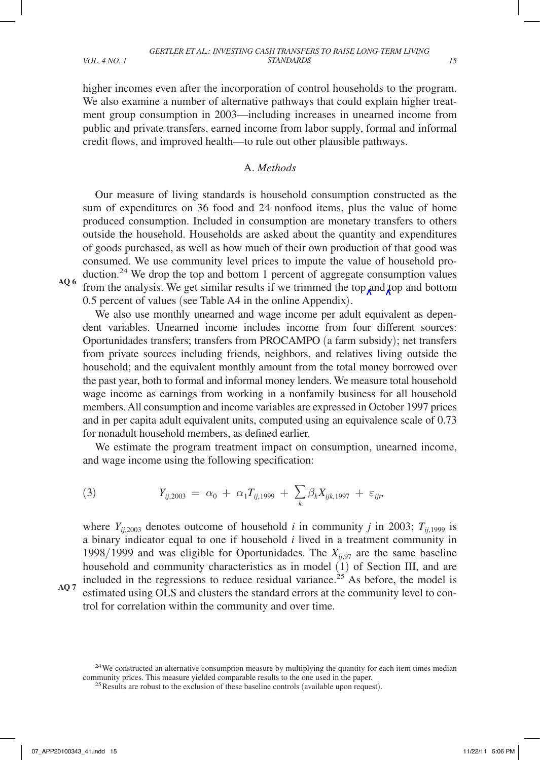higher incomes even after the incorporation of control households to the program. We also examine a number of alternative pathways that could explain higher treatment group consumption in 2003—including increases in unearned income from public and private transfers, earned income from labor supply, formal and informal

#### A. *Methods*

credit flows, and improved health—to rule out other plausible pathways.

Our measure of living standards is household consumption constructed as the sum of expenditures on 36 food and 24 nonfood items, plus the value of home produced consumption. Included in consumption are monetary transfers to others outside the household. Households are asked about the quantity and expenditures of goods purchased, as well as how much of their own production of that good was consumed. We use community level prices to impute the value of household production.24 We drop the top and bottom 1 percent of aggregate consumption values from the analysis. We get similar results if we trimmed the top and top and bottom

**AQ 6**

0.5 percent of values (see Table A4 in the online Appendix).

We also use monthly unearned and wage income per adult equivalent as dependent variables. Unearned income includes income from four different sources: Oportunidades transfers; transfers from PROCAMPO (a farm subsidy); net transfers from private sources including friends, neighbors, and relatives living outside the household; and the equivalent monthly amount from the total money borrowed over the past year, both to formal and informal money lenders. We measure total household wage income as earnings from working in a nonfamily business for all household members. All consumption and income variables are expressed in October 1997 prices and in per capita adult equivalent units, computed using an equivalence scale of 0.73 for nonadult household members, as defined earlier.

We estimate the program treatment impact on consumption, unearned income, and wage income using the following specification:

(3) 
$$
Y_{ij,2003} = \alpha_0 + \alpha_1 T_{ij,1999} + \sum_k \beta_k X_{ijk,1997} + \varepsilon_{ijt},
$$

trol for correlation within the community and over time.

where  $Y_{i,j,2003}$  denotes outcome of household *i* in community *j* in 2003;  $T_{i,j,1999}$  is a binary indicator equal to one if household *i* lived in a treatment community in 1998/1999 and was eligible for Oportunidades. The  $X_{ii,97}$  are the same baseline household and community characteristics as in model (1) of Section III, and are included in the regressions to reduce residual variance.<sup>25</sup> As before, the model is estimated using OLS and clusters the standard errors at the community level to con-

**AQ 7**

 $24$ We constructed an alternative consumption measure by multiplying the quantity for each item times median community prices. This measure yielded comparable results to the one used in the paper.<br><sup>25</sup>Results are robust to the exclusion of these baseline controls (available upon request).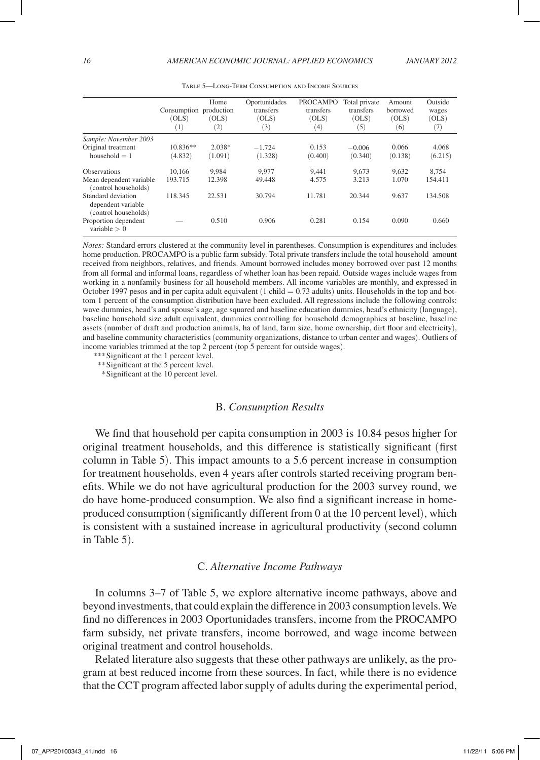|                                                                  | Consumption production<br>(OLS)<br>$\left(1\right)$ | Home<br>(OLS)<br>$\left( 2\right)$ | Oportunidades<br>transfers<br>(OLS)<br>(3) | <b>PROCAMPO</b><br>transfers<br>(OLS)<br>$^{(4)}$ | Total private<br>transfers<br>(OLS)<br>(5) | Amount<br>borrowed<br>(OLS)<br>(6) | Outside<br>wages<br>(OLS)<br>(7) |
|------------------------------------------------------------------|-----------------------------------------------------|------------------------------------|--------------------------------------------|---------------------------------------------------|--------------------------------------------|------------------------------------|----------------------------------|
| Sample: November 2003                                            |                                                     |                                    |                                            |                                                   |                                            |                                    |                                  |
| Original treatment                                               | $10.836**$                                          | $2.038*$                           | $-1.724$                                   | 0.153                                             | $-0.006$                                   | 0.066                              | 4.068                            |
| household $= 1$                                                  | (4.832)                                             | (1.091)                            | (1.328)                                    | (0.400)                                           | (0.340)                                    | (0.138)                            | (6.215)                          |
| <b>Observations</b>                                              | 10.166                                              | 9.984                              | 9.977                                      | 9.441                                             | 9.673                                      | 9.632                              | 8.754                            |
| Mean dependent variable<br>(control households)                  | 193.715                                             | 12.398                             | 49.448                                     | 4.575                                             | 3.213                                      | 1.070                              | 154.411                          |
| Standard deviation<br>dependent variable<br>(control households) | 118.345                                             | 22.531                             | 30.794                                     | 11.781                                            | 20.344                                     | 9.637                              | 134.508                          |
| Proportion dependent<br>variable $> 0$                           |                                                     | 0.510                              | 0.906                                      | 0.281                                             | 0.154                                      | 0.090                              | 0.660                            |

Table 5—Long-Term Consumption and Income Sources

*Notes:* Standard errors clustered at the community level in parentheses. Consumption is expenditures and includes home production. PROCAMPO is a public farm subsidy. Total private transfers include the total household amount received from neighbors, relatives, and friends. Amount borrowed includes money borrowed over past 12 months from all formal and informal loans, regardless of whether loan has been repaid. Outside wages include wages from working in a nonfamily business for all household members. All income variables are monthly, and expressed in October 1997 pesos and in per capita adult equivalent (1 child = 0.73 adults) units. Households in the top and bottom 1 percent of the consumption distribution have been excluded. All regressions include the following controls: wave dummies, head's and spouse's age, age squared and baseline education dummies, head's ethnicity (language), baseline household size adult equivalent, dummies controlling for household demographics at baseline, baseline assets (number of draft and production animals, ha of land, farm size, home ownership, dirt floor and electricity), and baseline community characteristics (community organizations, distance to urban center and wages). Outliers of income variables trimmed at the top 2 percent (top 5 percent for outside wages).

*\*\*\**Significant at the 1 percent level.

*\*\**Significant at the 5 percent level.

 *\**Significant at the 10 percent level.

#### B. *Consumption Results*

We find that household per capita consumption in 2003 is 10.84 pesos higher for original treatment households, and this difference is statistically significant (first column in Table 5). This impact amounts to a 5.6 percent increase in consumption for treatment households, even 4 years after controls started receiving program benefits. While we do not have agricultural production for the 2003 survey round, we do have home-produced consumption. We also find a significant increase in homeproduced consumption (significantly different from 0 at the 10 percent level), which is consistent with a sustained increase in agricultural productivity (second column in Table 5).

#### C. *Alternative Income Pathways*

In columns 3–7 of Table 5, we explore alternative income pathways, above and beyond investments, that could explain the difference in 2003 consumption levels. We find no differences in 2003 Oportunidades transfers, income from the PROCAMPO farm subsidy, net private transfers, income borrowed, and wage income between original treatment and control households.

Related literature also suggests that these other pathways are unlikely, as the program at best reduced income from these sources. In fact, while there is no evidence that the CCT program affected labor supply of adults during the experimental period,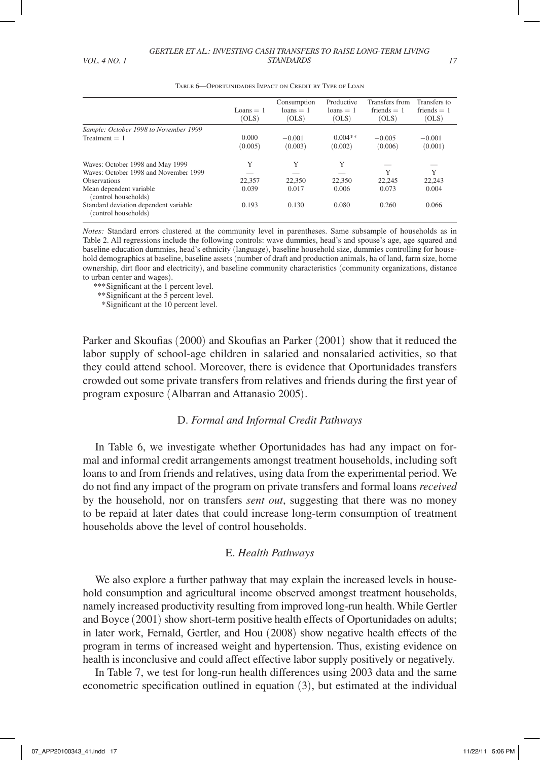|                                                               | Loans $= 1$<br>(OLS) | Consumption<br>$loans = 1$<br>(OLS) | Productive<br>$loans = 1$<br>(OLS) | Transfers from<br>friends $= 1$<br>(OLS) | Transfers to<br>friends $= 1$<br>(OLS) |
|---------------------------------------------------------------|----------------------|-------------------------------------|------------------------------------|------------------------------------------|----------------------------------------|
| Sample: October 1998 to November 1999                         |                      |                                     |                                    |                                          |                                        |
| $Treatment = 1$                                               | 0.000<br>(0.005)     | $-0.001$<br>(0.003)                 | $0.004**$<br>(0.002)               | $-0.005$<br>(0.006)                      | $-0.001$<br>(0.001)                    |
| Waves: October 1998 and May 1999                              | Y                    | Y                                   | Y                                  |                                          |                                        |
| Waves: October 1998 and November 1999                         |                      |                                     |                                    | Y                                        | Y                                      |
| <b>Observations</b>                                           | 22,357               | 22,350                              | 22,350                             | 22,245                                   | 22.243                                 |
| Mean dependent variable<br>(control households)               | 0.039                | 0.017                               | 0.006                              | 0.073                                    | 0.004                                  |
| Standard deviation dependent variable<br>(control households) | 0.193                | 0.130                               | 0.080                              | 0.260                                    | 0.066                                  |

Table 6—Oportunidades Impact on Credit by Type of Loan

*Notes:* Standard errors clustered at the community level in parentheses. Same subsample of households as in Table 2. All regressions include the following controls: wave dummies, head's and spouse's age, age squared and baseline education dummies, head's ethnicity (language), baseline household size, dummies controlling for household demographics at baseline, baseline assets (number of draft and production animals, ha of land, farm size, home ownership, dirt floor and electricity), and baseline community characteristics (community organizations, distance to urban center and wages).

*\*\*\**Significant at the 1 percent level.

*\*\**Significant at the 5 percent level.

 *\**Significant at the 10 percent level.

Parker and Skoufias (2000) and Skoufias an Parker (2001) show that it reduced the labor supply of school-age children in salaried and nonsalaried activities, so that they could attend school. Moreover, there is evidence that Oportunidades transfers crowded out some private transfers from relatives and friends during the first year of program exposure (Albarran and Attanasio 2005).

#### D. *Formal and Informal Credit Pathways*

In Table 6, we investigate whether Oportunidades has had any impact on formal and informal credit arrangements amongst treatment households, including soft loans to and from friends and relatives, using data from the experimental period. We do not find any impact of the program on private transfers and formal loans *received* by the household, nor on transfers *sent out*, suggesting that there was no money to be repaid at later dates that could increase long-term consumption of treatment households above the level of control households.

## E. *Health Pathways*

We also explore a further pathway that may explain the increased levels in household consumption and agricultural income observed amongst treatment households, namely increased productivity resulting from improved long-run health. While Gertler and Boyce (2001) show short-term positive health effects of Oportunidades on adults; in later work, Fernald, Gertler, and Hou (2008) show negative health effects of the program in terms of increased weight and hypertension. Thus, existing evidence on health is inconclusive and could affect effective labor supply positively or negatively.

In Table 7, we test for long-run health differences using 2003 data and the same econometric specification outlined in equation (3), but estimated at the individual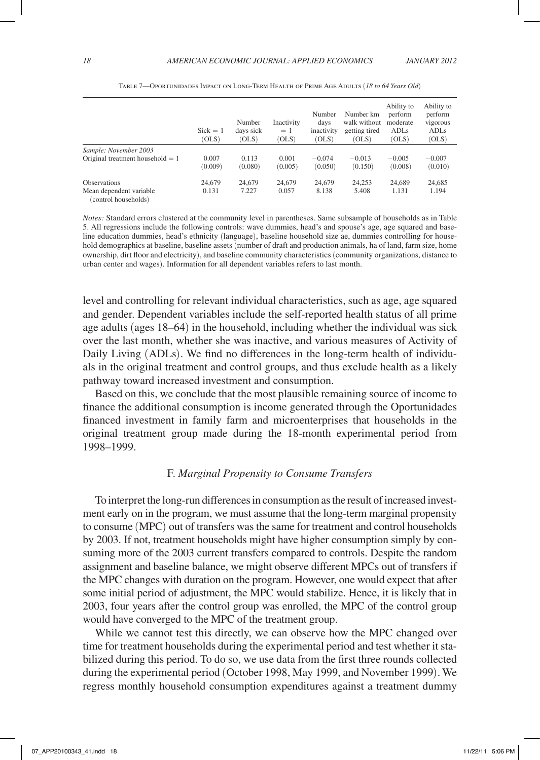|                                                                        | $Sick = 1$<br>(OLS) | Number<br>days sick<br>(OLS) | Inactivity<br>$=1$<br>(OLS) | Number<br>davs<br>inactivity<br>(OLS) | Number km<br>walk without<br>getting tired<br>(OLS) | Ability to<br>perform<br>moderate<br>ADL <sub>s</sub><br>(OLS) | Ability to<br>perform<br>vigorous<br>ADL <sub>s</sub><br>(OLS) |
|------------------------------------------------------------------------|---------------------|------------------------------|-----------------------------|---------------------------------------|-----------------------------------------------------|----------------------------------------------------------------|----------------------------------------------------------------|
| Sample: November 2003                                                  |                     |                              |                             |                                       |                                                     |                                                                |                                                                |
| Original treatment household $= 1$                                     | 0.007<br>(0.009)    | 0.113<br>(0.080)             | 0.001<br>(0.005)            | $-0.074$<br>(0.050)                   | $-0.013$<br>(0.150)                                 | $-0.005$<br>(0.008)                                            | $-0.007$<br>(0.010)                                            |
| <b>Observations</b><br>Mean dependent variable<br>(control households) | 24,679<br>0.131     | 24,679<br>7.227              | 24,679<br>0.057             | 24,679<br>8.138                       | 24,253<br>5.408                                     | 24,689<br>1.131                                                | 24,685<br>1.194                                                |

Table 7—Oportunidades Impact on Long-Term Health of Prime Age Adults (*18 to 64 Years Old*)

*Notes:* Standard errors clustered at the community level in parentheses. Same subsample of households as in Table 5. All regressions include the following controls: wave dummies, head's and spouse's age, age squared and baseline education dummies, head's ethnicity (language), baseline household size ae, dummies controlling for household demographics at baseline, baseline assets (number of draft and production animals, ha of land, farm size, home ownership, dirt floor and electricity), and baseline community characteristics (community organizations, distance to urban center and wages). Information for all dependent variables refers to last month.

level and controlling for relevant individual characteristics, such as age, age squared and gender. Dependent variables include the self-reported health status of all prime age adults (ages 18–64) in the household, including whether the individual was sick over the last month, whether she was inactive, and various measures of Activity of Daily Living (ADLs). We find no differences in the long-term health of individuals in the original treatment and control groups, and thus exclude health as a likely pathway toward increased investment and consumption.

Based on this, we conclude that the most plausible remaining source of income to finance the additional consumption is income generated through the Oportunidades financed investment in family farm and microenterprises that households in the original treatment group made during the 18-month experimental period from 1998–1999.

#### F. *Marginal Propensity to Consume Transfers*

To interpret the long-run differences in consumption as the result of increased investment early on in the program, we must assume that the long-term marginal propensity to consume (MPC) out of transfers was the same for treatment and control households by 2003. If not, treatment households might have higher consumption simply by consuming more of the 2003 current transfers compared to controls. Despite the random assignment and baseline balance, we might observe different MPCs out of transfers if the MPC changes with duration on the program. However, one would expect that after some initial period of adjustment, the MPC would stabilize. Hence, it is likely that in 2003, four years after the control group was enrolled, the MPC of the control group would have converged to the MPC of the treatment group.

While we cannot test this directly, we can observe how the MPC changed over time for treatment households during the experimental period and test whether it stabilized during this period. To do so, we use data from the first three rounds collected during the experimental period (October 1998, May 1999, and November 1999). We regress monthly household consumption expenditures against a treatment dummy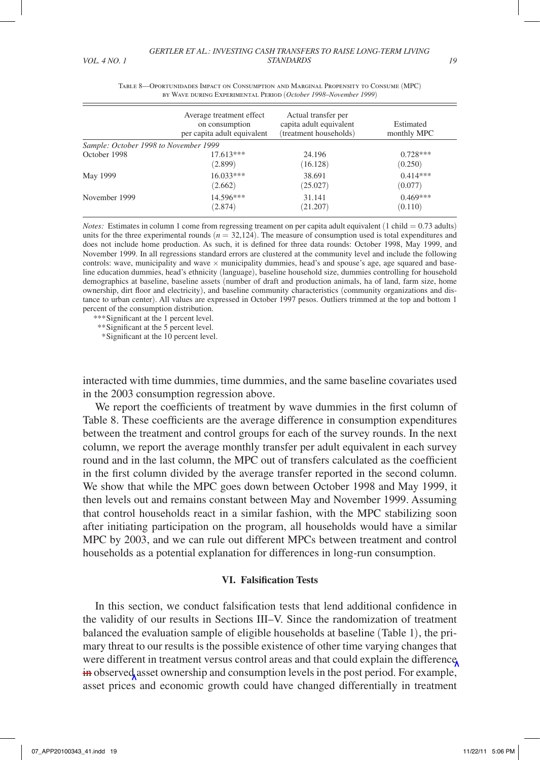|                                       | Average treatment effect<br>on consumption<br>per capita adult equivalent | Actual transfer per<br>capita adult equivalent<br>(treatment households) | Estimated<br>monthly MPC |
|---------------------------------------|---------------------------------------------------------------------------|--------------------------------------------------------------------------|--------------------------|
| Sample: October 1998 to November 1999 |                                                                           |                                                                          |                          |
| October 1998                          | 17.613***                                                                 | 24.196                                                                   | $0.728***$               |
|                                       | (2.899)                                                                   | (16.128)                                                                 | (0.250)                  |
| May 1999                              | $16.033***$                                                               | 38.691                                                                   | $0.414***$               |
|                                       | (2.662)                                                                   | (25.027)                                                                 | (0.077)                  |
| November 1999                         | 14.596***                                                                 | 31.141                                                                   | $0.469***$               |
|                                       | (2.874)                                                                   | (21.207)                                                                 | (0.110)                  |

Table 8—Oportunidades Impact on Consumption and Marginal Propensity to Consume (MPC) by Wave during Experimental Period (*October 1998*–*November 1999*)

*Notes:* Estimates in column 1 come from regressing treament on per capita adult equivalent (1 child = 0.73 adults) units for the three experimental rounds (*n* = 32,124). The measure of consumption used is total expenditures and does not include home production. As such, it is defined for three data rounds: October 1998, May 1999, and November 1999. In all regressions standard errors are clustered at the community level and include the following controls: wave, municipality and wave  $\times$  municipality dummies, head's and spouse's age, age squared and baseline education dummies, head's ethnicity (language), baseline household size, dummies controlling for household demographics at baseline, baseline assets (number of draft and production animals, ha of land, farm size, home ownership, dirt floor and electricity), and baseline community characteristics (community organizations and distance to urban center). All values are expressed in October 1997 pesos. Outliers trimmed at the top and bottom 1 percent of the consumption distribution.

*\*\*\**Significant at the 1 percent level.

*\*\**Significant at the 5 percent level.

 *\**Significant at the 10 percent level.

interacted with time dummies, time dummies, and the same baseline covariates used in the 2003 consumption regression above.

We report the coefficients of treatment by wave dummies in the first column of Table 8. These coefficients are the average difference in consumption expenditures between the treatment and control groups for each of the survey rounds. In the next column, we report the average monthly transfer per adult equivalent in each survey round and in the last column, the MPC out of transfers calculated as the coefficient in the first column divided by the average transfer reported in the second column. We show that while the MPC goes down between October 1998 and May 1999, it then levels out and remains constant between May and November 1999. Assuming that control households react in a similar fashion, with the MPC stabilizing soon after initiating participation on the program, all households would have a similar MPC by 2003, and we can rule out different MPCs between treatment and control households as a potential explanation for differences in long-run consumption.

#### **VI. Falsification Tests**

In this section, we conduct falsification tests that lend additional confidence in the validity of our results in Sections III–V. Since the randomization of treatment balanced the evaluation sample of eligible households at baseline (Table 1), the primary threat to our results is the possible existence of other time varying changes that were different in treatment versus control areas and that could explain the difference in observed asset ownership and consumption levels in the post period. For example, asset prices and economic growth could have changed differentially in treatment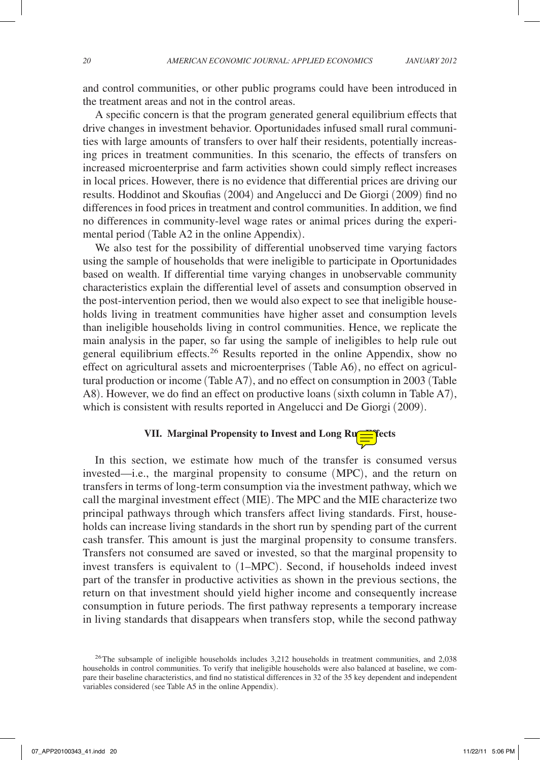and control communities, or other public programs could have been introduced in the treatment areas and not in the control areas.

A specific concern is that the program generated general equilibrium effects that drive changes in investment behavior. Oportunidades infused small rural communities with large amounts of transfers to over half their residents, potentially increasing prices in treatment communities. In this scenario, the effects of transfers on increased microenterprise and farm activities shown could simply reflect increases in local prices. However, there is no evidence that differential prices are driving our results. Hoddinot and Skoufias (2004) and Angelucci and De Giorgi (2009) find no differences in food prices in treatment and control communities. In addition, we find no differences in community-level wage rates or animal prices during the experimental period (Table A2 in the online Appendix).

We also test for the possibility of differential unobserved time varying factors using the sample of households that were ineligible to participate in Oportunidades based on wealth. If differential time varying changes in unobservable community characteristics explain the differential level of assets and consumption observed in the post-intervention period, then we would also expect to see that ineligible households living in treatment communities have higher asset and consumption levels than ineligible households living in control communities. Hence, we replicate the main analysis in the paper, so far using the sample of ineligibles to help rule out general equilibrium effects.<sup>26</sup> Results reported in the online Appendix, show no effect on agricultural assets and microenterprises (Table A6), no effect on agricultural production or income (Table A7), and no effect on consumption in 2003 (Table A8). However, we do find an effect on productive loans (sixth column in Table A7), which is consistent with results reported in Angelucci and De Giorgi (2009).

# **VII. Marginal Propensity to Invest and Long Runner Streets**

In this section, we estimate how much of the transfer is consumed versus invested—i.e., the marginal propensity to consume (MPC), and the return on transfers in terms of long-term consumption via the investment pathway, which we call the marginal investment effect (MIE). The MPC and the MIE characterize two principal pathways through which transfers affect living standards. First, households can increase living standards in the short run by spending part of the current cash transfer. This amount is just the marginal propensity to consume transfers. Transfers not consumed are saved or invested, so that the marginal propensity to invest transfers is equivalent to (1–MPC). Second, if households indeed invest part of the transfer in productive activities as shown in the previous sections, the return on that investment should yield higher income and consequently increase consumption in future periods. The first pathway represents a temporary increase in living standards that disappears when transfers stop, while the second pathway

<sup>&</sup>lt;sup>26</sup>The subsample of ineligible households includes 3,212 households in treatment communities, and 2,038 households in control communities. To verify that ineligible households were also balanced at baseline, we compare their baseline characteristics, and find no statistical differences in 32 of the 35 key dependent and independent variables considered (see Table A5 in the online Appendix).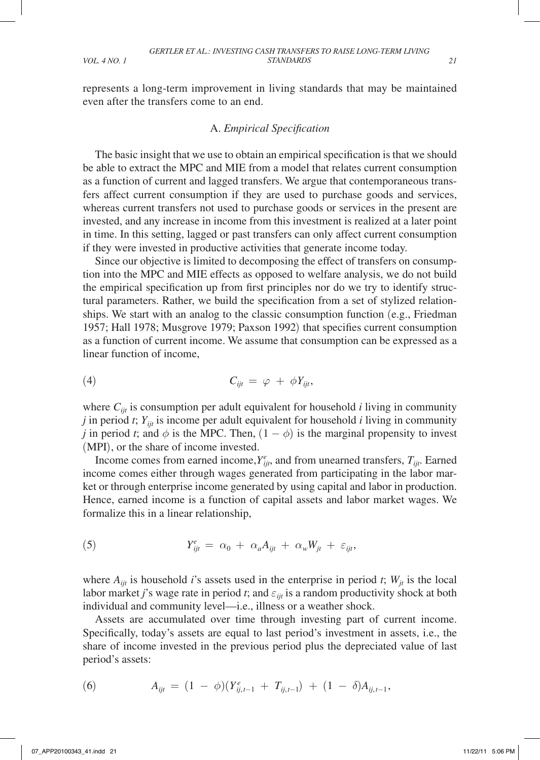represents a long-term improvement in living standards that may be maintained even after the transfers come to an end.

#### A. *Empirical Specification*

The basic insight that we use to obtain an empirical specification is that we should be able to extract the MPC and MIE from a model that relates current consumption as a function of current and lagged transfers. We argue that contemporaneous transfers affect current consumption if they are used to purchase goods and services, whereas current transfers not used to purchase goods or services in the present are invested, and any increase in income from this investment is realized at a later point in time. In this setting, lagged or past transfers can only affect current consumption if they were invested in productive activities that generate income today.

Since our objective is limited to decomposing the effect of transfers on consumption into the MPC and MIE effects as opposed to welfare analysis, we do not build the empirical specification up from first principles nor do we try to identify structural parameters. Rather, we build the specification from a set of stylized relationships. We start with an analog to the classic consumption function (e.g., Friedman 1957; Hall 1978; Musgrove 1979; Paxson 1992) that specifies current consumption as a function of current income. We assume that consumption can be expressed as a linear function of income,

$$
C_{ijt} = \varphi + \phi Y_{ijt},
$$

where  $C_{ijt}$  is consumption per adult equivalent for household  $i$  living in community *j* in period *t*;  $Y_{ijt}$  is income per adult equivalent for household *i* living in community *j* in period *t*; and  $\phi$  is the MPC. Then,  $(1 - \phi)$  is the marginal propensity to invest (MPI), or the share of income invested.

Income comes from earned income,  $Y_{ijt}^e$ , and from unearned transfers,  $T_{ijt}$ . Earned income comes either through wages generated from participating in the labor market or through enterprise income generated by using capital and labor in production. Hence, earned income is a function of capital assets and labor market wages. We formalize this in a linear relationship,

(5) 
$$
Y_{ijt}^e = \alpha_0 + \alpha_a A_{ijt} + \alpha_w W_{jt} + \varepsilon_{ijt},
$$

where  $A_{ijt}$  is household *i*'s assets used in the enterprise in period *t*;  $W_{it}$  is the local labor market *j*'s wage rate in period *t*; and  $\varepsilon_{i}$  is a random productivity shock at both individual and community level—i.e., illness or a weather shock.

Assets are accumulated over time through investing part of current income. Specifically, today's assets are equal to last period's investment in assets, i.e., the share of income invested in the previous period plus the depreciated value of last period's assets:

(6) 
$$
A_{ijt} = (1 - \phi)(Y_{ij,t-1}^e + T_{ij,t-1}) + (1 - \delta)A_{ij,t-1},
$$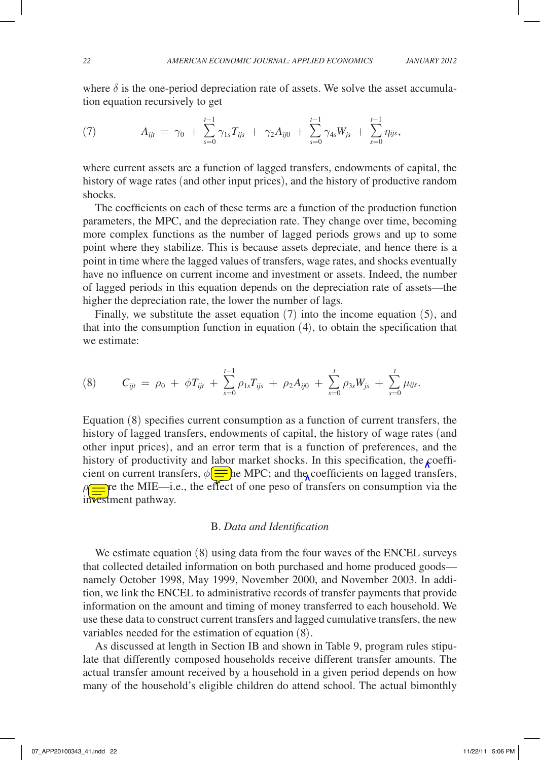where  $\delta$  is the one-period depreciation rate of assets. We solve the asset accumulation equation recursively to get

(7) 
$$
A_{ijt} = \gamma_0 + \sum_{s=0}^{t-1} \gamma_{1s} T_{ijs} + \gamma_2 A_{ij0} + \sum_{s=0}^{t-1} \gamma_{4s} W_{js} + \sum_{s=0}^{t-1} \eta_{ijs},
$$

where current assets are a function of lagged transfers, endowments of capital, the history of wage rates (and other input prices), and the history of productive random shocks.

The coefficients on each of these terms are a function of the production function parameters, the MPC, and the depreciation rate. They change over time, becoming more complex functions as the number of lagged periods grows and up to some point where they stabilize. This is because assets depreciate, and hence there is a point in time where the lagged values of transfers, wage rates, and shocks eventually have no influence on current income and investment or assets. Indeed, the number of lagged periods in this equation depends on the depreciation rate of assets—the higher the depreciation rate, the lower the number of lags.

Finally, we substitute the asset equation (7) into the income equation (5), and that into the consumption function in equation (4), to obtain the specification that we estimate:

$$
(8) \tC_{ijt} = \rho_0 + \phi T_{ijt} + \sum_{s=0}^{t-1} \rho_{1s} T_{ijs} + \rho_2 A_{ij0} + \sum_{s=0}^{t} \rho_{3s} W_{js} + \sum_{s=0}^{t} \mu_{ijs}.
$$

Equation (8) specifies current consumption as a function of current transfers, the history of lagged transfers, endowments of capital, the history of wage rates (and other input prices), and an error term that is a function of preferences, and the history of productivity and labor market shocks. In this specification, the  $\epsilon$ oefficient on current transfers,  $\phi \equiv$  he MPC; and the coefficients on lagged transfers, **Fr** is the MIE—i.e., the effect of one peso of transfers on consumption via the investment pathway.

#### B. *Data and Identification*

We estimate equation (8) using data from the four waves of the ENCEL surveys that collected detailed information on both purchased and home produced goods namely October 1998, May 1999, November 2000, and November 2003. In addition, we link the ENCEL to administrative records of transfer payments that provide information on the amount and timing of money transferred to each household. We use these data to construct current transfers and lagged cumulative transfers, the new variables needed for the estimation of equation (8).

As discussed at length in Section IB and shown in Table 9, program rules stipulate that differently composed households receive different transfer amounts. The actual transfer amount received by a household in a given period depends on how many of the household's eligible children do attend school. The actual bimonthly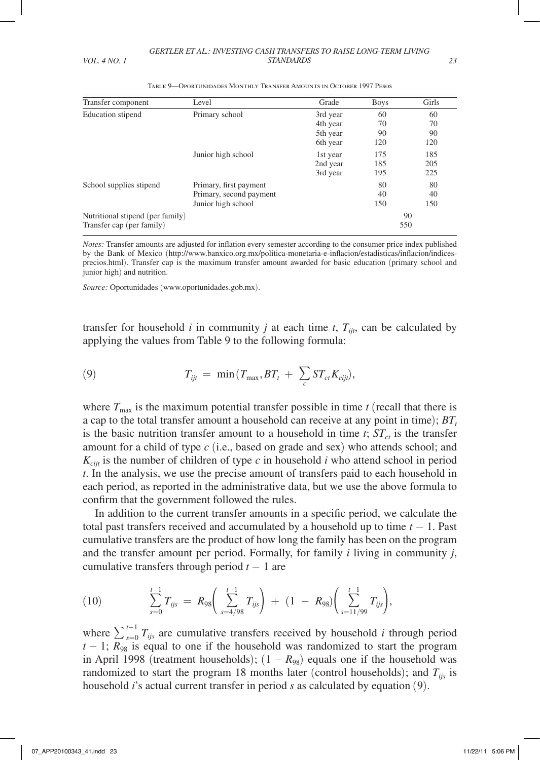| Transfer component               | Level                   | Grade    | <b>Boys</b> | Girls |
|----------------------------------|-------------------------|----------|-------------|-------|
| Education stipend                | Primary school          | 3rd year | 60          | 60    |
|                                  |                         | 4th year | 70          | 70    |
|                                  |                         | 5th year | 90          | 90    |
|                                  |                         | 6th year | 120         | 120   |
|                                  | Junior high school      | 1st year | 175         | 185   |
|                                  |                         | 2nd year | 185         | 205   |
|                                  |                         | 3rd year | 195         | 225   |
| School supplies stipend          | Primary, first payment  |          | 80          | 80    |
|                                  | Primary, second payment |          | 40          | 40    |
|                                  | Junior high school      |          | 150         | 150   |
| Nutritional stipend (per family) |                         |          |             | 90    |
| Transfer cap (per family)        |                         |          |             | 550   |

Table 9—Oportunidades Monthly Transfer Amounts in October 1997 Pesos

*Notes:* Transfer amounts are adjusted for inflation every semester according to the consumer price index published by the Bank of Mexico (http://www.banxico.org.mx/politica-monetaria-e-inflacion/estadisticas/inflacion/indicesprecios.html). Transfer cap is the maximum transfer amount awarded for basic education (primary school and junior high) and nutrition.

*Source:* Oportunidades (www.oportunidades.gob.mx).

transfer for household *i* in community *j* at each time *t*,  $T_{ijt}$ , can be calculated by applying the values from Table 9 to the following formula:

(9) 
$$
T_{ijt} = \min(T_{\max}, BT_t + \sum_c ST_{ct} K_{cijt}),
$$

where  $T_{\text{max}}$  is the maximum potential transfer possible in time  $t$  (recall that there is a cap to the total transfer amount a household can receive at any point in time);  $BT_t$ is the basic nutrition transfer amount to a household in time  $t$ ;  $ST<sub>ct</sub>$  is the transfer amount for a child of type *c* (i.e., based on grade and sex) who attends school; and  $K_{\text{crit}}$  is the number of children of type  $c$  in household  $i$  who attend school in period *t*. In the analysis, we use the precise amount of transfers paid to each household in each period, as reported in the administrative data, but we use the above formula to confirm that the government followed the rules.

In addition to the current transfer amounts in a specific period, we calculate the total past transfers received and accumulated by a household up to time *t* − 1. Past cumulative transfers are the product of how long the family has been on the program and the transfer amount per period. Formally, for family *i* living in community *j*, cumulative transfers through period  $t - 1$  are

(10) 
$$
\sum_{s=0}^{t-1} T_{ijs} = R_{98} \left( \sum_{s=4/98}^{t-1} T_{ijs} \right) + (1 - R_{98}) \left( \sum_{s=11/99}^{t-1} T_{ijs} \right),
$$

where  $\sum_{s=0}^{t-1} T_{ijs}$  are cumulative transfers received by household *i* through period  $t - 1$ ;  $R_{98}$  is equal to one if the household was randomized to start the program in April 1998 (treatment households);  $(1 - R_{98})$  equals one if the household was randomized to start the program 18 months later (control households); and  $T_{ijs}$  is household *i*'s actual current transfer in period *s* as calculated by equation (9).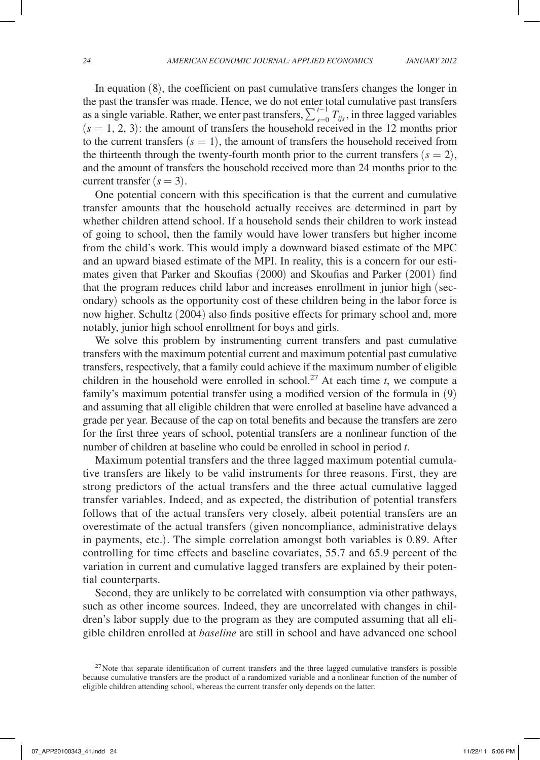In equation (8), the coefficient on past cumulative transfers changes the longer in the past the transfer was made. Hence, we do not enter total cumulative past transfers as a single variable. Rather, we enter past transfers,  $\sum_{s=0}^{t-1} T_{ijs}$ , in three lagged variables  $(s = 1, 2, 3)$ : the amount of transfers the household received in the 12 months prior to the current transfers  $(s = 1)$ , the amount of transfers the household received from the thirteenth through the twenty-fourth month prior to the current transfers  $(s = 2)$ , and the amount of transfers the household received more than 24 months prior to the current transfer  $(s = 3)$ .

One potential concern with this specification is that the current and cumulative transfer amounts that the household actually receives are determined in part by whether children attend school. If a household sends their children to work instead of going to school, then the family would have lower transfers but higher income from the child's work. This would imply a downward biased estimate of the MPC and an upward biased estimate of the MPI. In reality, this is a concern for our estimates given that Parker and Skoufias (2000) and Skoufias and Parker (2001) find that the program reduces child labor and increases enrollment in junior high (secondary) schools as the opportunity cost of these children being in the labor force is now higher. Schultz (2004) also finds positive effects for primary school and, more notably, junior high school enrollment for boys and girls.

We solve this problem by instrumenting current transfers and past cumulative transfers with the maximum potential current and maximum potential past cumulative transfers, respectively, that a family could achieve if the maximum number of eligible children in the household were enrolled in school.<sup>27</sup> At each time  $t$ , we compute a family's maximum potential transfer using a modified version of the formula in (9) and assuming that all eligible children that were enrolled at baseline have advanced a grade per year. Because of the cap on total benefits and because the transfers are zero for the first three years of school, potential transfers are a nonlinear function of the number of children at baseline who could be enrolled in school in period *t*.

Maximum potential transfers and the three lagged maximum potential cumulative transfers are likely to be valid instruments for three reasons. First, they are strong predictors of the actual transfers and the three actual cumulative lagged transfer variables. Indeed, and as expected, the distribution of potential transfers follows that of the actual transfers very closely, albeit potential transfers are an overestimate of the actual transfers (given noncompliance, administrative delays in payments, etc.). The simple correlation amongst both variables is 0.89. After controlling for time effects and baseline covariates, 55.7 and 65.9 percent of the variation in current and cumulative lagged transfers are explained by their potential counterparts.

Second, they are unlikely to be correlated with consumption via other pathways, such as other income sources. Indeed, they are uncorrelated with changes in children's labor supply due to the program as they are computed assuming that all eligible children enrolled at *baseline* are still in school and have advanced one school

 $27$ Note that separate identification of current transfers and the three lagged cumulative transfers is possible because cumulative transfers are the product of a randomized variable and a nonlinear function of the number of eligible children attending school, whereas the current transfer only depends on the latter.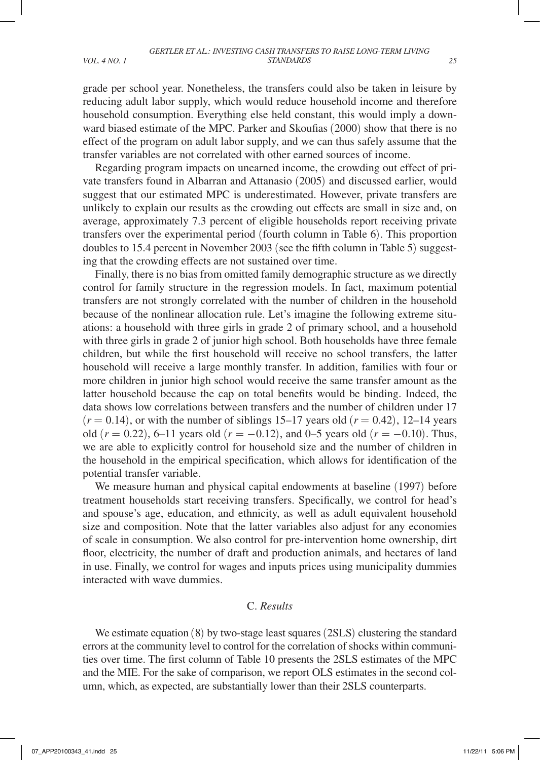grade per school year. Nonetheless, the transfers could also be taken in leisure by reducing adult labor supply, which would reduce household income and therefore household consumption. Everything else held constant, this would imply a downward biased estimate of the MPC. Parker and Skoufias (2000) show that there is no effect of the program on adult labor supply, and we can thus safely assume that the transfer variables are not correlated with other earned sources of income.

Regarding program impacts on unearned income, the crowding out effect of private transfers found in Albarran and Attanasio (2005) and discussed earlier, would suggest that our estimated MPC is underestimated. However, private transfers are unlikely to explain our results as the crowding out effects are small in size and, on average, approximately 7.3 percent of eligible households report receiving private transfers over the experimental period (fourth column in Table 6). This proportion doubles to 15.4 percent in November 2003 (see the fifth column in Table 5) suggesting that the crowding effects are not sustained over time.

Finally, there is no bias from omitted family demographic structure as we directly control for family structure in the regression models. In fact, maximum potential transfers are not strongly correlated with the number of children in the household because of the nonlinear allocation rule. Let's imagine the following extreme situations: a household with three girls in grade 2 of primary school, and a household with three girls in grade 2 of junior high school. Both households have three female children, but while the first household will receive no school transfers, the latter household will receive a large monthly transfer. In addition, families with four or more children in junior high school would receive the same transfer amount as the latter household because the cap on total benefits would be binding. Indeed, the data shows low correlations between transfers and the number of children under 17  $(r = 0.14)$ , or with the number of siblings 15–17 years old  $(r = 0.42)$ , 12–14 years old (*r* = 0.22), 6–11 years old (*r* = −0.12), and 0–5 years old (*r* = −0.10). Thus, we are able to explicitly control for household size and the number of children in the household in the empirical specification, which allows for identification of the potential transfer variable.

We measure human and physical capital endowments at baseline (1997) before treatment households start receiving transfers. Specifically, we control for head's and spouse's age, education, and ethnicity, as well as adult equivalent household size and composition. Note that the latter variables also adjust for any economies of scale in consumption. We also control for pre-intervention home ownership, dirt floor, electricity, the number of draft and production animals, and hectares of land in use. Finally, we control for wages and inputs prices using municipality dummies interacted with wave dummies.

## C. *Results*

We estimate equation (8) by two-stage least squares (2SLS) clustering the standard errors at the community level to control for the correlation of shocks within communities over time. The first column of Table 10 presents the 2SLS estimates of the MPC and the MIE. For the sake of comparison, we report OLS estimates in the second column, which, as expected, are substantially lower than their 2SLS counterparts.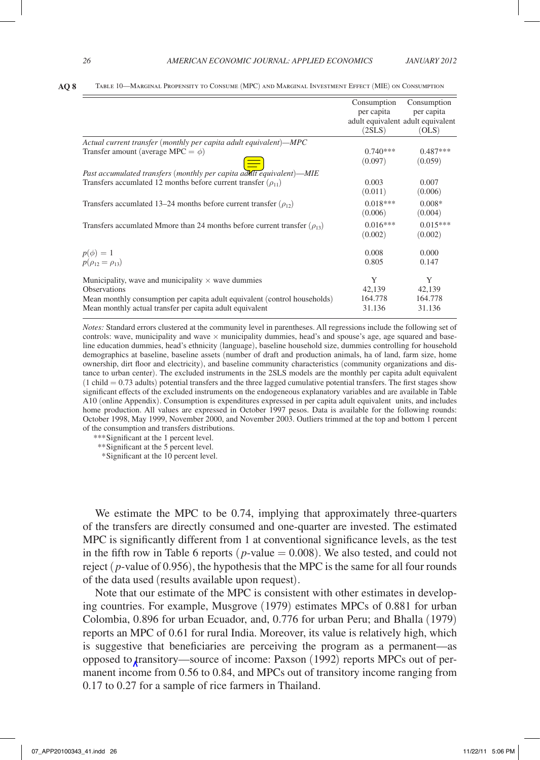|                                                                                 | Consumption<br>per capita<br>(2SLS) | Consumption<br>per capita<br>adult equivalent adult equivalent<br>(OLS) |
|---------------------------------------------------------------------------------|-------------------------------------|-------------------------------------------------------------------------|
| Actual current transfer (monthly per capita adult equivalent)—MPC               |                                     |                                                                         |
| Transfer amount (average MPC = $\phi$ )                                         | $0.740***$                          | $0.487***$                                                              |
|                                                                                 | (0.097)                             | (0.059)                                                                 |
| Past accumulated transfers (monthly per capita adult equivalent)-MIE            |                                     |                                                                         |
| Transfers accumlated 12 months before current transfer $(\rho_{11})$            | 0.003                               | 0.007                                                                   |
|                                                                                 | (0.011)                             | (0.006)                                                                 |
| Transfers accumlated 13–24 months before current transfer $(\rho_{12})$         | $0.018***$                          | $0.008*$                                                                |
|                                                                                 | (0.006)                             | (0.004)                                                                 |
| Transfers accumlated Mmore than 24 months before current transfer $(\rho_{13})$ | $0.016***$                          | $0.015***$                                                              |
|                                                                                 | (0.002)                             | (0.002)                                                                 |
| $p(\phi) = 1$                                                                   | 0.008                               | 0.000                                                                   |
| $p(\rho_{12} = \rho_{13})$                                                      | 0.805                               | 0.147                                                                   |
| Municipality, wave and municipality $\times$ wave dummies                       | Y                                   | Y                                                                       |
| <b>Observations</b>                                                             | 42,139                              | 42,139                                                                  |
| Mean monthly consumption per capita adult equivalent (control households)       | 164.778                             | 164.778                                                                 |
| Mean monthly actual transfer per capita adult equivalent                        | 31.136                              | 31.136                                                                  |

*Notes:* Standard errors clustered at the community level in parentheses. All regressions include the following set of controls: wave, municipality and wave  $\times$  municipality dummies, head's and spouse's age, age squared and baseline education dummies, head's ethnicity (language), baseline household size, dummies controlling for household demographics at baseline, baseline assets (number of draft and production animals, ha of land, farm size, home ownership, dirt floor and electricity), and baseline community characteristics (community organizations and distance to urban center). The excluded instruments in the 2SLS models are the monthly per capita adult equivalent  $(1 \text{ child} = 0.73 \text{ adults})$  potential transfers and the three lagged cumulative potential transfers. The first stages show significant effects of the excluded instruments on the endogeneous explanatory variables and are available in Table A10 (online Appendix). Consumption is expenditures expressed in per capita adult equivalent units, and includes home production. All values are expressed in October 1997 pesos. Data is available for the following rounds: October 1998, May 1999, November 2000, and November 2003. Outliers trimmed at the top and bottom 1 percent of the consumption and transfers distributions.

*\*\*\**Significant at the 1 percent level.

*\*\**Significant at the 5 percent level.

 *\**Significant at the 10 percent level.

We estimate the MPC to be 0.74, implying that approximately three-quarters of the transfers are directly consumed and one-quarter are invested. The estimated MPC is significantly different from 1 at conventional significance levels, as the test in the fifth row in Table 6 reports ( $p$ -value  $= 0.008$ ). We also tested, and could not reject ( *p*-value of 0.956), the hypothesis that the MPC is the same for all four rounds of the data used (results available upon request).

Note that our estimate of the MPC is consistent with other estimates in developing countries. For example, Musgrove (1979) estimates MPCs of 0.881 for urban Colombia, 0.896 for urban Ecuador, and, 0.776 for urban Peru; and Bhalla (1979) reports an MPC of 0.61 for rural India. Moreover, its value is relatively high, which is suggestive that beneficiaries are perceiving the program as a permanent—as opposed to transitory—source of income: Paxson (1992) reports MPCs out of permanent income from 0.56 to 0.84, and MPCs out of transitory income ranging from 0.17 to 0.27 for a sample of rice farmers in Thailand.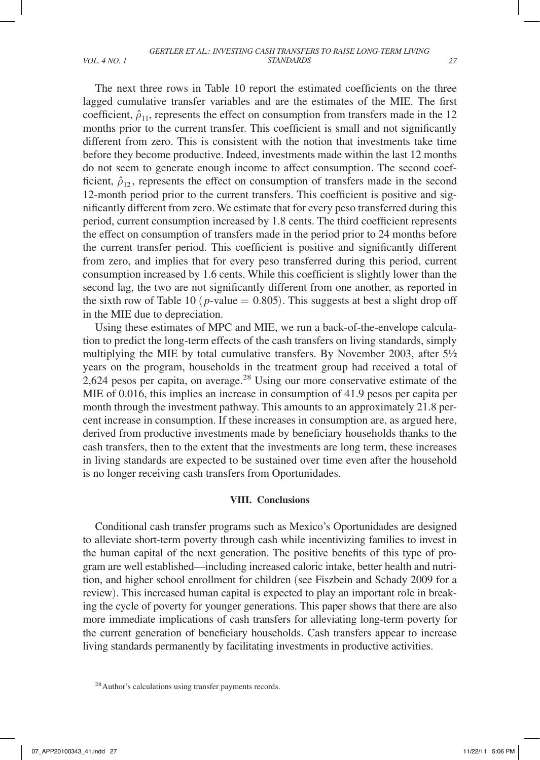The next three rows in Table 10 report the estimated coefficients on the three lagged cumulative transfer variables and are the estimates of the MIE. The first coefficient,  $\hat{\rho}_{11}$ , represents the effect on consumption from transfers made in the 12 months prior to the current transfer. This coefficient is small and not significantly different from zero. This is consistent with the notion that investments take time before they become productive. Indeed, investments made within the last 12 months do not seem to generate enough income to affect consumption. The second coefficient,  $\hat{\rho}_{12}$ , represents the effect on consumption of transfers made in the second 12-month period prior to the current transfers. This coefficient is positive and significantly different from zero. We estimate that for every peso transferred during this period, current consumption increased by 1.8 cents. The third coefficient represents the effect on consumption of transfers made in the period prior to 24 months before the current transfer period. This coefficient is positive and significantly different from zero, and implies that for every peso transferred during this period, current consumption increased by 1.6 cents. While this coefficient is slightly lower than the second lag, the two are not significantly different from one another, as reported in the sixth row of Table 10 ( $p$ -value = 0.805). This suggests at best a slight drop off in the MIE due to depreciation.

Using these estimates of MPC and MIE, we run a back-of-the-envelope calculation to predict the long-term effects of the cash transfers on living standards, simply multiplying the MIE by total cumulative transfers. By November 2003, after 51/2 years on the program, households in the treatment group had received a total of 2,624 pesos per capita, on average.<sup>28</sup> Using our more conservative estimate of the MIE of 0.016, this implies an increase in consumption of 41.9 pesos per capita per month through the investment pathway. This amounts to an approximately 21.8 percent increase in consumption. If these increases in consumption are, as argued here, derived from productive investments made by beneficiary households thanks to the cash transfers, then to the extent that the investments are long term, these increases in living standards are expected to be sustained over time even after the household is no longer receiving cash transfers from Oportunidades.

#### **VIII. Conclusions**

Conditional cash transfer programs such as Mexico's Oportunidades are designed to alleviate short-term poverty through cash while incentivizing families to invest in the human capital of the next generation. The positive benefits of this type of program are well established—including increased caloric intake, better health and nutrition, and higher school enrollment for children (see Fiszbein and Schady 2009 for a review). This increased human capital is expected to play an important role in breaking the cycle of poverty for younger generations. This paper shows that there are also more immediate implications of cash transfers for alleviating long-term poverty for the current generation of beneficiary households. Cash transfers appear to increase living standards permanently by facilitating investments in productive activities.

<sup>&</sup>lt;sup>28</sup> Author's calculations using transfer payments records.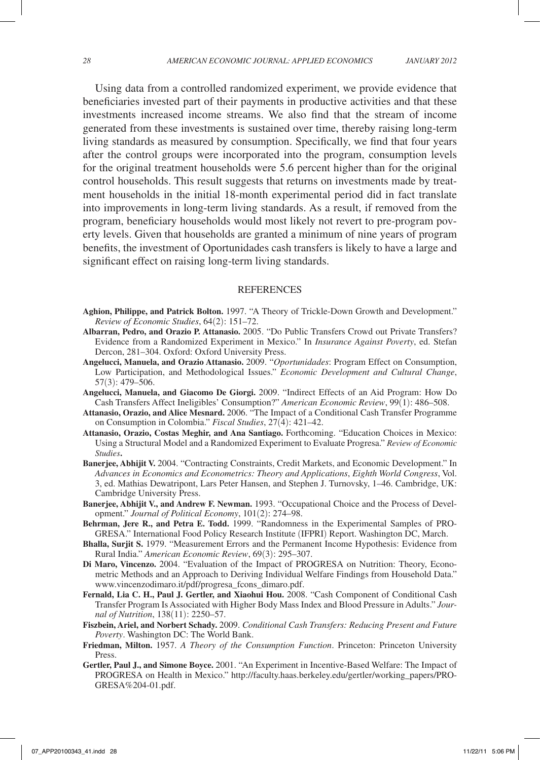Using data from a controlled randomized experiment, we provide evidence that beneficiaries invested part of their payments in productive activities and that these investments increased income streams. We also find that the stream of income generated from these investments is sustained over time, thereby raising long-term living standards as measured by consumption. Specifically, we find that four years after the control groups were incorporated into the program, consumption levels for the original treatment households were 5.6 percent higher than for the original control households. This result suggests that returns on investments made by treatment households in the initial 18-month experimental period did in fact translate into improvements in long-term living standards. As a result, if removed from the program, beneficiary households would most likely not revert to pre-program poverty levels. Given that households are granted a minimum of nine years of program benefits, the investment of Oportunidades cash transfers is likely to have a large and significant effect on raising long-term living standards.

#### REFERENCES

- **Aghion, Philippe, and Patrick Bolton.** 1997. "A Theory of Trickle-Down Growth and Development." *Review of Economic Studies*, 64(2): 151–72.
- **Albarran, Pedro, and Orazio P. Attanasio.** 2005. "Do Public Transfers Crowd out Private Transfers? Evidence from a Randomized Experiment in Mexico." In *Insurance Against Poverty*, ed. Stefan Dercon, 281–304. Oxford: Oxford University Press.
- **Angelucci, Manuela, and Orazio Attanasio.** 2009. "*Oportunidades*: Program Effect on Consumption, Low Participation, and Methodological Issues." *Economic Development and Cultural Change*, 57(3): 479–506.
- **Angelucci, Manuela, and Giacomo De Giorgi.** 2009. "Indirect Effects of an Aid Program: How Do Cash Transfers Affect Ineligibles' Consumption?" *American Economic Review*, 99(1): 486–508.
- **Attanasio, Orazio, and Alice Mesnard.** 2006. "The Impact of a Conditional Cash Transfer Programme on Consumption in Colombia." *Fiscal Studies*, 27(4): 421–42.
- **Attanasio, Orazio, Costas Meghir, and Ana Santiago.** Forthcoming. "Education Choices in Mexico: Using a Structural Model and a Randomized Experiment to Evaluate Progresa." *Review of Economic Studies***.**
- **Banerjee, Abhijit V.** 2004. "Contracting Constraints, Credit Markets, and Economic Development." In *Advances in Economics and Econometrics: Theory and Applications*, *Eighth World Congress*, Vol. 3, ed. Mathias Dewatripont, Lars Peter Hansen, and Stephen J. Turnovsky, 1–46. Cambridge, UK: Cambridge University Press.
- **Banerjee, Abhijit V., and Andrew F. Newman.** 1993. "Occupational Choice and the Process of Development." *Journal of Political Economy*, 101(2): 274–98.
- **Behrman, Jere R., and Petra E. Todd.** 1999. "Randomness in the Experimental Samples of PRO-GRESA." International Food Policy Research Institute (IFPRI) Report. Washington DC, March.
- **Bhalla, Surjit S.** 1979. "Measurement Errors and the Permanent Income Hypothesis: Evidence from Rural India." *American Economic Review*, 69(3): 295–307.
- **Di Maro, Vincenzo.** 2004. "Evaluation of the Impact of PROGRESA on Nutrition: Theory, Econometric Methods and an Approach to Deriving Individual Welfare Findings from Household Data." www.vincenzodimaro.it/pdf/progresa\_fcons\_dimaro.pdf.
- **Fernald, Lia C. H., Paul J. Gertler, and Xiaohui Hou.** 2008. "Cash Component of Conditional Cash Transfer Program Is Associated with Higher Body Mass Index and Blood Pressure in Adults." *Journal of Nutrition*, 138(11): 2250–57.
- **Fiszbein, Ariel, and Norbert Schady.** 2009. *Conditional Cash Transfers: Reducing Present and Future Poverty*. Washington DC: The World Bank.
- **Friedman, Milton.** 1957. *A Theory of the Consumption Function*. Princeton: Princeton University Press.
- **Gertler, Paul J., and Simone Boyce.** 2001. "An Experiment in Incentive-Based Welfare: The Impact of PROGRESA on Health in Mexico." http://faculty.haas.berkeley.edu/gertler/working\_papers/PRO-GRESA%204-01.pdf.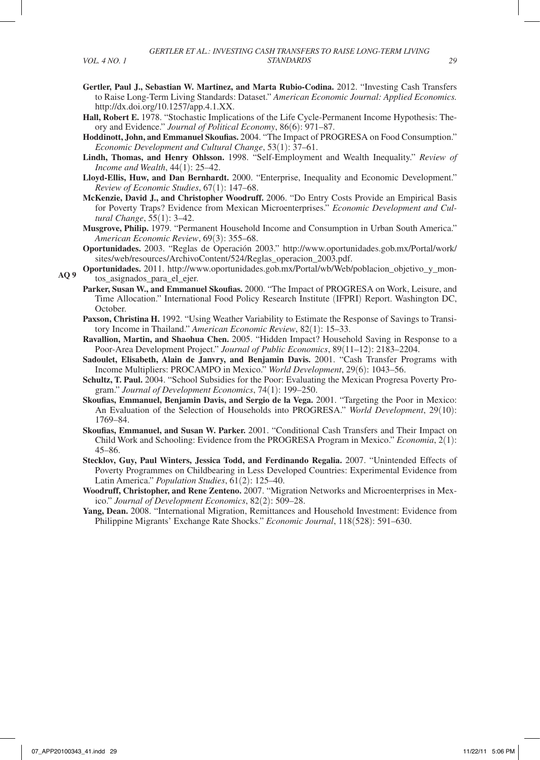- **Gertler, Paul J., Sebastian W. Martinez, and Marta Rubio-Codina.** 2012. "Investing Cash Transfers to Raise Long-Term Living Standards: Dataset." *American Economic Journal: Applied Economics.*  http://dx.doi.org/10.1257/app.4.1.XX.
- **Hall, Robert E.** 1978. "Stochastic Implications of the Life Cycle-Permanent Income Hypothesis: Theory and Evidence." *Journal of Political Economy*, 86(6): 971–87.
- **Hoddinott, John, and Emmanuel Skoufias.** 2004. "The Impact of PROGRESA on Food Consumption." *Economic Development and Cultural Change*, 53(1): 37–61.
- **Lindh, Thomas, and Henry Ohlsson.** 1998. "Self-Employment and Wealth Inequality." *Review of Income and Wealth*, 44(1): 25–42.
- **Lloyd-Ellis, Huw, and Dan Bernhardt.** 2000. "Enterprise, Inequality and Economic Development." *Review of Economic Studies*, 67(1): 147–68.
- **McKenzie, David J., and Christopher Woodruff.** 2006. "Do Entry Costs Provide an Empirical Basis for Poverty Traps? Evidence from Mexican Microenterprises." *Economic Development and Cultural Change*, 55(1): 3–42.
- **Musgrove, Philip.** 1979. "Permanent Household Income and Consumption in Urban South America." *American Economic Review*, 69(3): 355–68.
- **Oportunidades.** 2003. "Reglas de Operación 2003." http://www.oportunidades.gob.mx/Portal/work/ sites/web/resources/ArchivoContent/524/Reglas\_operacion\_2003.pdf.
- **Oportunidades.** 2011. http://www.oportunidades.gob.mx/Portal/wb/Web/poblacion\_objetivo\_y\_montos\_asignados\_para\_el\_ejer. **AQ 9**
	- **Parker, Susan W., and Emmanuel Skoufias.** 2000. "The Impact of PROGRESA on Work, Leisure, and Time Allocation." International Food Policy Research Institute (IFPRI) Report. Washington DC, October.
	- **Paxson, Christina H.** 1992. "Using Weather Variability to Estimate the Response of Savings to Transitory Income in Thailand." *American Economic Review*, 82(1): 15–33.
	- **Ravallion, Martin, and Shaohua Chen.** 2005. "Hidden Impact? Household Saving in Response to a Poor-Area Development Project." *Journal of Public Economics*, 89(11–12): 2183–2204.
	- **Sadoulet, Elisabeth, Alain de Janvry, and Benjamin Davis.** 2001. "Cash Transfer Programs with Income Multipliers: PROCAMPO in Mexico." *World Development*, 29(6): 1043–56.
	- **Schultz, T. Paul.** 2004. "School Subsidies for the Poor: Evaluating the Mexican Progresa Poverty Program." *Journal of Development Economics*, 74(1): 199–250.
	- **Skoufias, Emmanuel, Benjamin Davis, and Sergio de la Vega.** 2001. "Targeting the Poor in Mexico: An Evaluation of the Selection of Households into PROGRESA." *World Development*, 29(10): 1769–84.
	- **Skoufias, Emmanuel, and Susan W. Parker.** 2001. "Conditional Cash Transfers and Their Impact on Child Work and Schooling: Evidence from the PROGRESA Program in Mexico." *Economia*, 2(1): 45–86.
	- **Stecklov, Guy, Paul Winters, Jessica Todd, and Ferdinando Regalia.** 2007. "Unintended Effects of Poverty Programmes on Childbearing in Less Developed Countries: Experimental Evidence from Latin America." *Population Studies*, 61(2): 125–40.
	- **Woodruff, Christopher, and Rene Zenteno.** 2007. "Migration Networks and Microenterprises in Mexico." *Journal of Development Economics*, 82(2): 509–28.
	- **Yang, Dean.** 2008. "International Migration, Remittances and Household Investment: Evidence from Philippine Migrants' Exchange Rate Shocks." *Economic Journal*, 118(528): 591–630.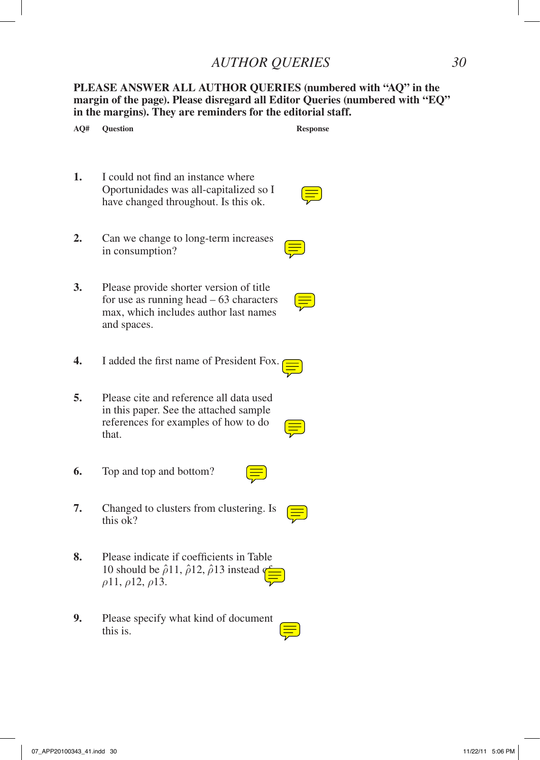# *AUTHOR QUERIES 30*

**PLEASE ANSWER ALL AUTHOR QUERIES (numbered with "AQ" in the margin of the page). Please disregard all Editor Queries (numbered with "EQ" in the margins). They are reminders for the editorial staff.**

| AQ# | <b>Question</b>                                                                                                                                          | <b>Response</b> |
|-----|----------------------------------------------------------------------------------------------------------------------------------------------------------|-----------------|
| 1.  | I could not find an instance where<br>Oportunidades was all-capitalized so I<br>have changed throughout. Is this ok.                                     |                 |
| 2.  | Can we change to long-term increases<br>in consumption?                                                                                                  |                 |
| 3.  | Please provide shorter version of title<br>for use as running head $-63$ characters<br>max, which includes author last names<br>and spaces.              |                 |
| 4.  | I added the first name of President Fox.                                                                                                                 |                 |
| 5.  | Please cite and reference all data used<br>in this paper. See the attached sample<br>references for examples of how to do<br>that.                       |                 |
| 6.  | Top and top and bottom?                                                                                                                                  |                 |
| 7.  | Changed to clusters from clustering. Is<br>this ok?                                                                                                      |                 |
| 8.  | Please indicate if coefficients in Table<br>10 should be $\hat{\rho}$ 11, $\hat{\rho}$ 12, $\hat{\rho}$ 13 instead q<br>$\rho$ 11, $\rho$ 12, $\rho$ 13. |                 |
| 9.  | Please specify what kind of document<br>this is.                                                                                                         |                 |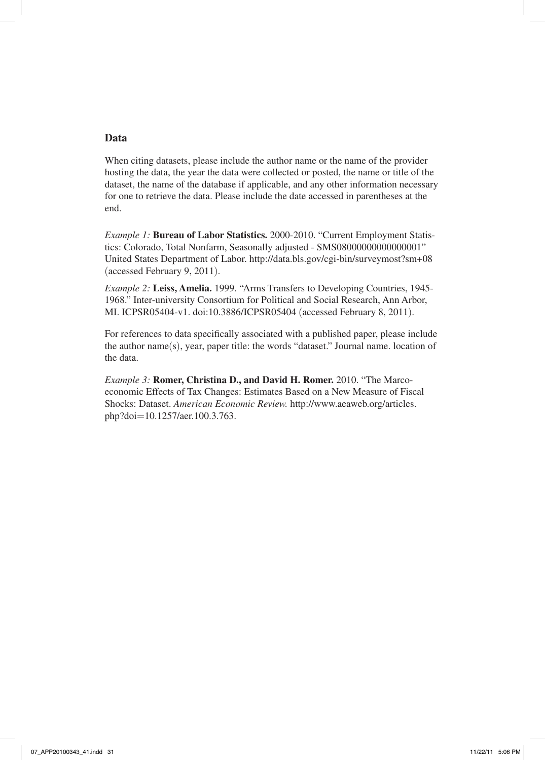# **Data**

When citing datasets, please include the author name or the name of the provider hosting the data, the year the data were collected or posted, the name or title of the dataset, the name of the database if applicable, and any other information necessary for one to retrieve the data. Please include the date accessed in parentheses at the end.

*Example 1:* **Bureau of Labor Statistics.** 2000-2010. "Current Employment Statistics: Colorado, Total Nonfarm, Seasonally adjusted - SMS08000000000000001" United States Department of Labor. http://data.bls.gov/cgi-bin/surveymost?sm+08 (accessed February 9, 2011).

*Example 2:* **Leiss, Amelia.** 1999. "Arms Transfers to Developing Countries, 1945- 1968." Inter-university Consortium for Political and Social Research, Ann Arbor, MI. ICPSR05404-v1. doi:10.3886/ICPSR05404 (accessed February 8, 2011).

For references to data specifically associated with a published paper, please include the author name(s), year, paper title: the words "dataset." Journal name. location of the data.

*Example 3:* **Romer, Christina D., and David H. Romer.** 2010. "The Marcoeconomic Effects of Tax Changes: Estimates Based on a New Measure of Fiscal Shocks: Dataset. *American Economic Review.* http://www.aeaweb.org/articles. php?doi=10.1257/aer.100.3.763.